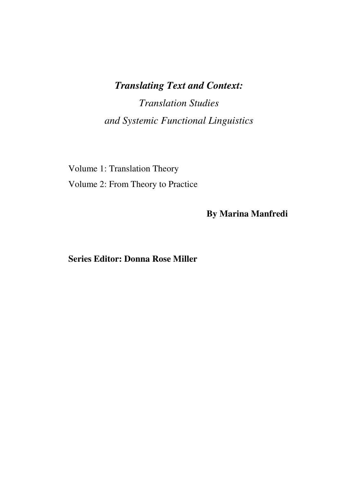# *Translating Text and Context: Translation Studies and Systemic Functional Linguistics*

Volume 1: Translation Theory Volume 2: From Theory to Practice

**By Marina Manfredi** 

# **Series Editor: Donna Rose Miller**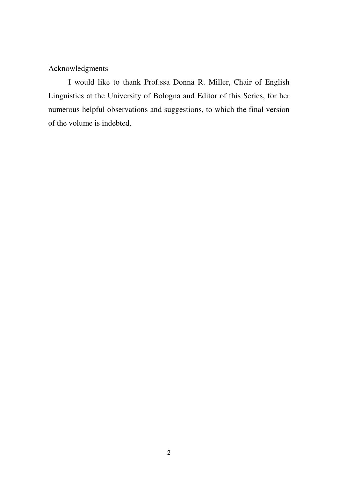# Acknowledgments

I would like to thank Prof.ssa Donna R. Miller, Chair of English Linguistics at the University of Bologna and Editor of this Series, for her numerous helpful observations and suggestions, to which the final version of the volume is indebted.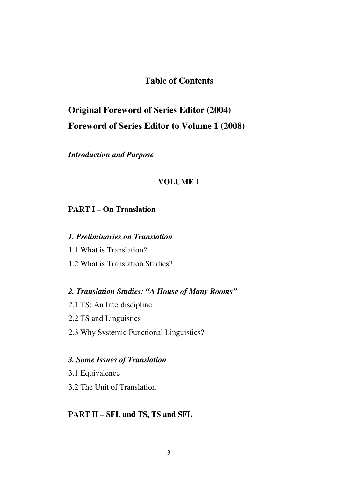# **Table of Contents**

# **Original Foreword of Series Editor (2004) Foreword of Series Editor to Volume 1 (2008)**

*Introduction and Purpose*

## **VOLUME 1**

# **PART I – On Translation**

## *1. Preliminaries on Translation*

- 1.1 What is Translation?
- 1.2 What is Translation Studies?

# *2. Translation Studies: "A House of Many Rooms"*

- 2.1 TS: An Interdiscipline
- 2.2 TS and Linguistics
- 2.3 Why Systemic Functional Linguistics?

#### *3. Some Issues of Translation*

- 3.1 Equivalence
- 3.2 The Unit of Translation

# **PART II – SFL and TS, TS and SFL**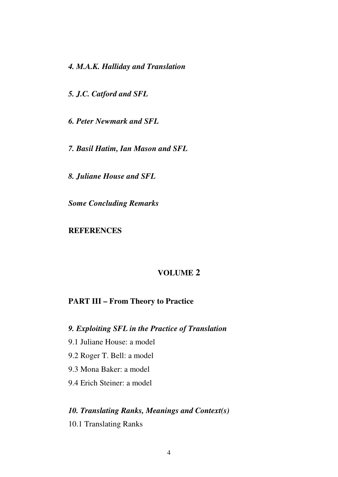*4. M.A.K. Halliday and Translation* 

*5. J.C. Catford and SFL* 

*6. Peter Newmark and SFL* 

*7. Basil Hatim, Ian Mason and SFL* 

*8. Juliane House and SFL* 

*Some Concluding Remarks* 

# **REFERENCES**

# **VOLUME 2**

## **PART III – From Theory to Practice**

*9. Exploiting SFL in the Practice of Translation* 

- 9.1 Juliane House: a model
- 9.2 Roger T. Bell: a model
- 9.3 Mona Baker: a model
- 9.4 Erich Steiner: a model

# *10. Translating Ranks, Meanings and Context(s)*

10.1 Translating Ranks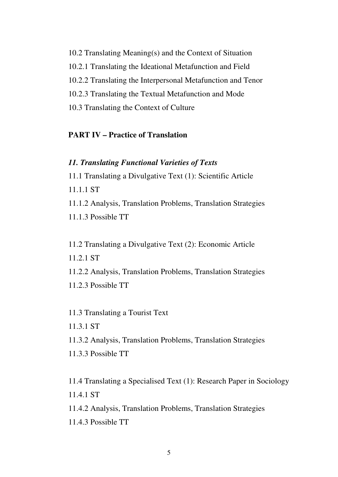10.2 Translating Meaning(s) and the Context of Situation 10.2.1 Translating the Ideational Metafunction and Field 10.2.2 Translating the Interpersonal Metafunction and Tenor 10.2.3 Translating the Textual Metafunction and Mode 10.3 Translating the Context of Culture

# **PART IV – Practice of Translation**

### *11. Translating Functional Varieties of Texts*

11.1 Translating a Divulgative Text (1): Scientific Article 11.1.1 ST 11.1.2 Analysis, Translation Problems, Translation Strategies

11.1.3 Possible TT

11.2 Translating a Divulgative Text (2): Economic Article 11.2.1 ST

11.2.2 Analysis, Translation Problems, Translation Strategies 11.2.3 Possible TT

11.3 Translating a Tourist Text

11.3.1 ST

11.3.2 Analysis, Translation Problems, Translation Strategies

11.3.3 Possible TT

11.4 Translating a Specialised Text (1): Research Paper in Sociology 11.4.1 ST

11.4.2 Analysis, Translation Problems, Translation Strategies

11.4.3 Possible TT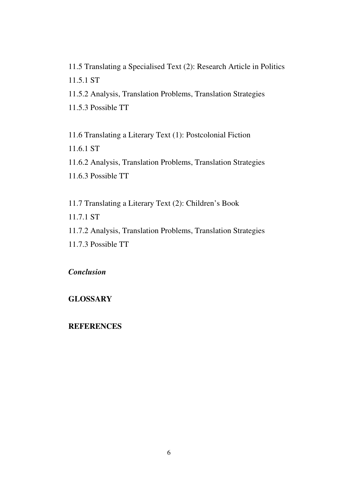11.5 Translating a Specialised Text (2): Research Article in Politics 11.5.1 ST 11.5.2 Analysis, Translation Problems, Translation Strategies

11.5.3 Possible TT

11.6 Translating a Literary Text (1): Postcolonial Fiction 11.6.1 ST

11.6.2 Analysis, Translation Problems, Translation Strategies 11.6.3 Possible TT

11.7 Translating a Literary Text (2): Children's Book 11.7.1 ST 11.7.2 Analysis, Translation Problems, Translation Strategies 11.7.3 Possible TT

# *Conclusion*

# **GLOSSARY**

# **REFERENCES**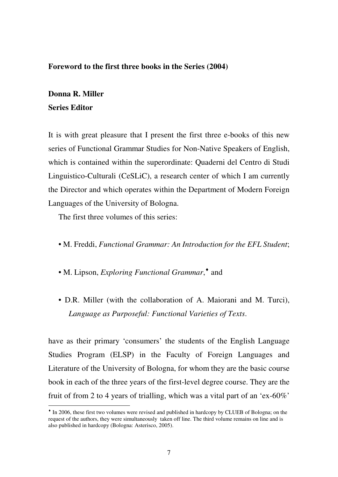## **Foreword to the first three books in the Series (2004)**

# **Donna R. Miller Series Editor**

<u>.</u>

It is with great pleasure that I present the first three e-books of this new series of Functional Grammar Studies for Non-Native Speakers of English, which is contained within the superordinate: Quaderni del Centro di Studi Linguistico-Culturali (CeSLiC), a research center of which I am currently the Director and which operates within the Department of Modern Foreign Languages of the University of Bologna.

The first three volumes of this series:

- M. Freddi, *Functional Grammar: An Introduction for the EFL Student*;
- M. Lipson, *Exploring Functional Grammar*,<sup>•</sup> and
- D.R. Miller (with the collaboration of A. Maiorani and M. Turci), *Language as Purposeful: Functional Varieties of Texts*.

have as their primary 'consumers' the students of the English Language Studies Program (ELSP) in the Faculty of Foreign Languages and Literature of the University of Bologna, for whom they are the basic course book in each of the three years of the first-level degree course. They are the fruit of from 2 to 4 years of trialling, which was a vital part of an 'ex-60%'

<sup>♦</sup> In 2006, these first two volumes were revised and published in hardcopy by CLUEB of Bologna; on the request of the authors, they were simultaneously taken off line. The third volume remains on line and is also published in hardcopy (Bologna: Asterisco, 2005).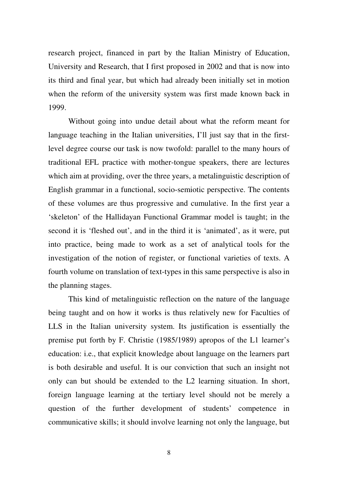research project, financed in part by the Italian Ministry of Education, University and Research, that I first proposed in 2002 and that is now into its third and final year, but which had already been initially set in motion when the reform of the university system was first made known back in 1999.

Without going into undue detail about what the reform meant for language teaching in the Italian universities, I'll just say that in the firstlevel degree course our task is now twofold: parallel to the many hours of traditional EFL practice with mother-tongue speakers, there are lectures which aim at providing, over the three years, a metalinguistic description of English grammar in a functional, socio-semiotic perspective. The contents of these volumes are thus progressive and cumulative. In the first year a 'skeleton' of the Hallidayan Functional Grammar model is taught; in the second it is 'fleshed out', and in the third it is 'animated', as it were, put into practice, being made to work as a set of analytical tools for the investigation of the notion of register, or functional varieties of texts. A fourth volume on translation of text-types in this same perspective is also in the planning stages.

This kind of metalinguistic reflection on the nature of the language being taught and on how it works is thus relatively new for Faculties of LLS in the Italian university system. Its justification is essentially the premise put forth by F. Christie (1985/1989) apropos of the L1 learner's education: i.e., that explicit knowledge about language on the learners part is both desirable and useful. It is our conviction that such an insight not only can but should be extended to the L2 learning situation. In short, foreign language learning at the tertiary level should not be merely a question of the further development of students' competence in communicative skills; it should involve learning not only the language, but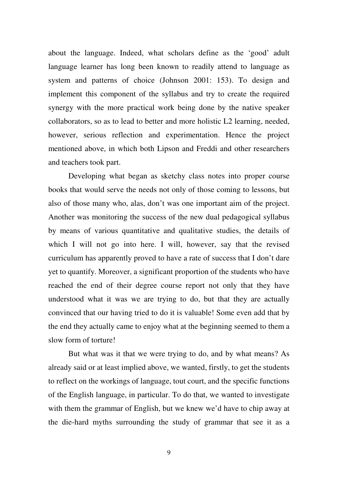about the language. Indeed, what scholars define as the 'good' adult language learner has long been known to readily attend to language as system and patterns of choice (Johnson 2001: 153). To design and implement this component of the syllabus and try to create the required synergy with the more practical work being done by the native speaker collaborators, so as to lead to better and more holistic L2 learning, needed, however, serious reflection and experimentation. Hence the project mentioned above, in which both Lipson and Freddi and other researchers and teachers took part.

Developing what began as sketchy class notes into proper course books that would serve the needs not only of those coming to lessons, but also of those many who, alas, don't was one important aim of the project. Another was monitoring the success of the new dual pedagogical syllabus by means of various quantitative and qualitative studies, the details of which I will not go into here. I will, however, say that the revised curriculum has apparently proved to have a rate of success that I don't dare yet to quantify. Moreover, a significant proportion of the students who have reached the end of their degree course report not only that they have understood what it was we are trying to do, but that they are actually convinced that our having tried to do it is valuable! Some even add that by the end they actually came to enjoy what at the beginning seemed to them a slow form of torture!

But what was it that we were trying to do, and by what means? As already said or at least implied above, we wanted, firstly, to get the students to reflect on the workings of language, tout court, and the specific functions of the English language, in particular. To do that, we wanted to investigate with them the grammar of English, but we knew we'd have to chip away at the die-hard myths surrounding the study of grammar that see it as a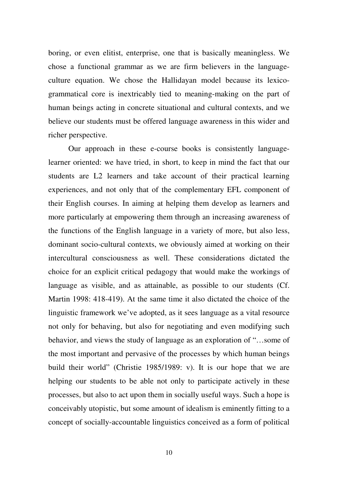boring, or even elitist, enterprise, one that is basically meaningless. We chose a functional grammar as we are firm believers in the languageculture equation. We chose the Hallidayan model because its lexicogrammatical core is inextricably tied to meaning-making on the part of human beings acting in concrete situational and cultural contexts, and we believe our students must be offered language awareness in this wider and richer perspective.

Our approach in these e-course books is consistently languagelearner oriented: we have tried, in short, to keep in mind the fact that our students are L2 learners and take account of their practical learning experiences, and not only that of the complementary EFL component of their English courses. In aiming at helping them develop as learners and more particularly at empowering them through an increasing awareness of the functions of the English language in a variety of more, but also less, dominant socio-cultural contexts, we obviously aimed at working on their intercultural consciousness as well. These considerations dictated the choice for an explicit critical pedagogy that would make the workings of language as visible, and as attainable, as possible to our students (Cf. Martin 1998: 418-419). At the same time it also dictated the choice of the linguistic framework we've adopted, as it sees language as a vital resource not only for behaving, but also for negotiating and even modifying such behavior, and views the study of language as an exploration of "…some of the most important and pervasive of the processes by which human beings build their world" (Christie 1985/1989: v). It is our hope that we are helping our students to be able not only to participate actively in these processes, but also to act upon them in socially useful ways. Such a hope is conceivably utopistic, but some amount of idealism is eminently fitting to a concept of socially-accountable linguistics conceived as a form of political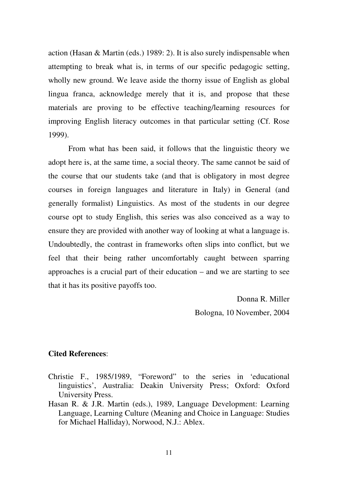action (Hasan & Martin (eds.) 1989: 2). It is also surely indispensable when attempting to break what is, in terms of our specific pedagogic setting, wholly new ground. We leave aside the thorny issue of English as global lingua franca, acknowledge merely that it is, and propose that these materials are proving to be effective teaching/learning resources for improving English literacy outcomes in that particular setting (Cf. Rose 1999).

From what has been said, it follows that the linguistic theory we adopt here is, at the same time, a social theory. The same cannot be said of the course that our students take (and that is obligatory in most degree courses in foreign languages and literature in Italy) in General (and generally formalist) Linguistics. As most of the students in our degree course opt to study English, this series was also conceived as a way to ensure they are provided with another way of looking at what a language is. Undoubtedly, the contrast in frameworks often slips into conflict, but we feel that their being rather uncomfortably caught between sparring approaches is a crucial part of their education – and we are starting to see that it has its positive payoffs too.

> Donna R. Miller Bologna, 10 November, 2004

## **Cited References**:

- Christie F., 1985/1989, "Foreword" to the series in 'educational linguistics', Australia: Deakin University Press; Oxford: Oxford University Press.
- Hasan R. & J.R. Martin (eds.), 1989, Language Development: Learning Language, Learning Culture (Meaning and Choice in Language: Studies for Michael Halliday), Norwood, N.J.: Ablex.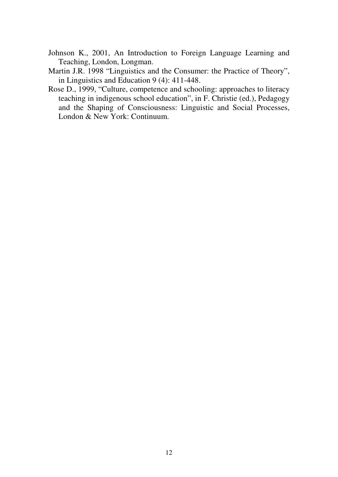- Johnson K., 2001, An Introduction to Foreign Language Learning and Teaching, London, Longman.
- Martin J.R. 1998 "Linguistics and the Consumer: the Practice of Theory", in Linguistics and Education 9 (4): 411-448.
- Rose D., 1999, "Culture, competence and schooling: approaches to literacy teaching in indigenous school education", in F. Christie (ed.), Pedagogy and the Shaping of Consciousness: Linguistic and Social Processes, London & New York: Continuum.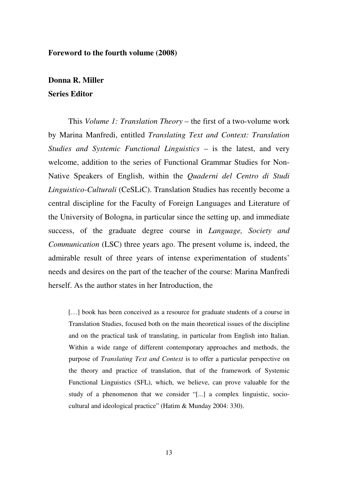#### **Foreword to the fourth volume (2008)**

# **Donna R. Miller Series Editor**

This *Volume 1: Translation Theory* – the first of a two-volume work by Marina Manfredi, entitled *Translating Text and Context: Translation Studies and Systemic Functional Linguistics* – is the latest, and very welcome, addition to the series of Functional Grammar Studies for Non-Native Speakers of English, within the *Quaderni del Centro di Studi Linguistico-Culturali* (CeSLiC). Translation Studies has recently become a central discipline for the Faculty of Foreign Languages and Literature of the University of Bologna, in particular since the setting up, and immediate success, of the graduate degree course in *Language, Society and Communication* (LSC) three years ago. The present volume is, indeed, the admirable result of three years of intense experimentation of students' needs and desires on the part of the teacher of the course: Marina Manfredi herself. As the author states in her Introduction, the

[...] book has been conceived as a resource for graduate students of a course in Translation Studies, focused both on the main theoretical issues of the discipline and on the practical task of translating, in particular from English into Italian. Within a wide range of different contemporary approaches and methods, the purpose of *Translating Text and Context* is to offer a particular perspective on the theory and practice of translation, that of the framework of Systemic Functional Linguistics (SFL), which, we believe, can prove valuable for the study of a phenomenon that we consider "[...] a complex linguistic, sociocultural and ideological practice" (Hatim & Munday 2004: 330).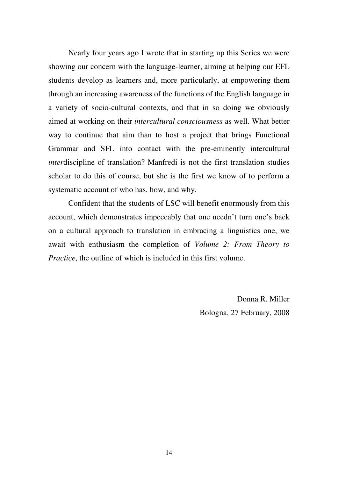Nearly four years ago I wrote that in starting up this Series we were showing our concern with the language-learner, aiming at helping our EFL students develop as learners and, more particularly, at empowering them through an increasing awareness of the functions of the English language in a variety of socio-cultural contexts, and that in so doing we obviously aimed at working on their *intercultural consciousness* as well. What better way to continue that aim than to host a project that brings Functional Grammar and SFL into contact with the pre-eminently intercultural *inter*discipline of translation? Manfredi is not the first translation studies scholar to do this of course, but she is the first we know of to perform a systematic account of who has, how, and why.

Confident that the students of LSC will benefit enormously from this account, which demonstrates impeccably that one needn't turn one's back on a cultural approach to translation in embracing a linguistics one, we await with enthusiasm the completion of *Volume 2: From Theory to Practice*, the outline of which is included in this first volume.

> Donna R. Miller Bologna, 27 February, 2008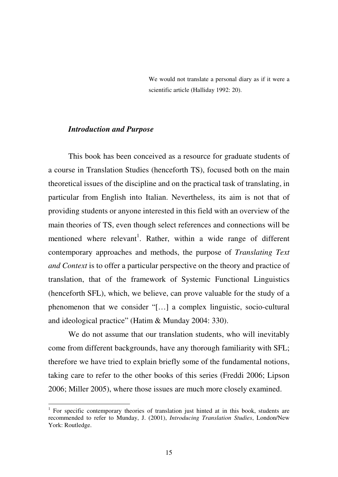We would not translate a personal diary as if it were a scientific article (Halliday 1992: 20).

#### *Introduction and Purpose*

<u>.</u>

This book has been conceived as a resource for graduate students of a course in Translation Studies (henceforth TS), focused both on the main theoretical issues of the discipline and on the practical task of translating, in particular from English into Italian. Nevertheless, its aim is not that of providing students or anyone interested in this field with an overview of the main theories of TS, even though select references and connections will be mentioned where relevant<sup>1</sup>. Rather, within a wide range of different contemporary approaches and methods, the purpose of *Translating Text and Context* is to offer a particular perspective on the theory and practice of translation, that of the framework of Systemic Functional Linguistics (henceforth SFL), which, we believe, can prove valuable for the study of a phenomenon that we consider "[…] a complex linguistic, socio-cultural and ideological practice" (Hatim & Munday 2004: 330).

We do not assume that our translation students, who will inevitably come from different backgrounds, have any thorough familiarity with SFL; therefore we have tried to explain briefly some of the fundamental notions, taking care to refer to the other books of this series (Freddi 2006; Lipson 2006; Miller 2005), where those issues are much more closely examined.

<sup>&</sup>lt;sup>1</sup> For specific contemporary theories of translation just hinted at in this book, students are recommended to refer to Munday, J. (2001), *Introducing Translation Studies*, London/New York: Routledge.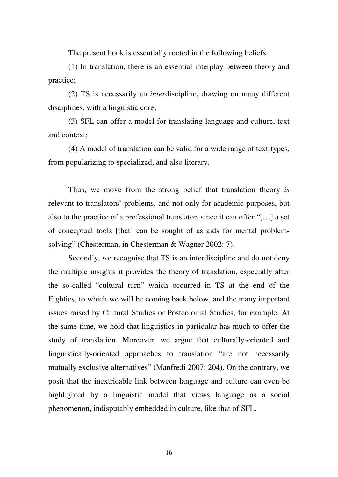The present book is essentially rooted in the following beliefs:

(1) In translation, there is an essential interplay between theory and practice;

(2) TS is necessarily an *inter*discipline, drawing on many different disciplines, with a linguistic core;

(3) SFL can offer a model for translating language and culture, text and context;

(4) A model of translation can be valid for a wide range of text-types, from popularizing to specialized, and also literary.

Thus, we move from the strong belief that translation theory *is* relevant to translators' problems, and not only for academic purposes, but also to the practice of a professional translator, since it can offer "[…] a set of conceptual tools [that] can be sought of as aids for mental problemsolving" (Chesterman, in Chesterman & Wagner 2002: 7).

Secondly, we recognise that TS is an interdiscipline and do not deny the multiple insights it provides the theory of translation, especially after the so-called "cultural turn" which occurred in TS at the end of the Eighties, to which we will be coming back below, and the many important issues raised by Cultural Studies or Postcolonial Studies, for example. At the same time, we hold that linguistics in particular has much to offer the study of translation. Moreover, we argue that culturally-oriented and linguistically-oriented approaches to translation "are not necessarily mutually exclusive alternatives" (Manfredi 2007: 204). On the contrary, we posit that the inextricable link between language and culture can even be highlighted by a linguistic model that views language as a social phenomenon, indisputably embedded in culture, like that of SFL.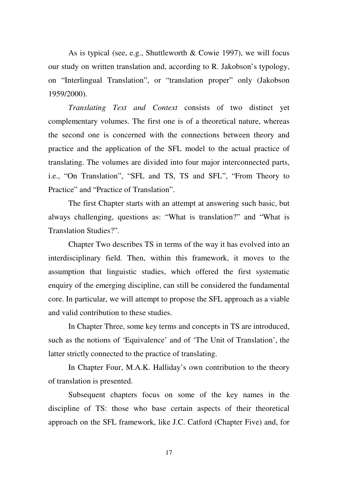As is typical (see, e.g., Shuttleworth & Cowie 1997), we will focus our study on written translation and, according to R. Jakobson's typology, on "Interlingual Translation", or "translation proper" only (Jakobson 1959/2000).

*Translating Text and Context* consists of two distinct yet complementary volumes. The first one is of a theoretical nature, whereas the second one is concerned with the connections between theory and practice and the application of the SFL model to the actual practice of translating. The volumes are divided into four major interconnected parts, i.e., "On Translation", "SFL and TS, TS and SFL", "From Theory to Practice" and "Practice of Translation".

The first Chapter starts with an attempt at answering such basic, but always challenging, questions as: "What is translation?" and "What is Translation Studies?".

Chapter Two describes TS in terms of the way it has evolved into an interdisciplinary field. Then, within this framework, it moves to the assumption that linguistic studies, which offered the first systematic enquiry of the emerging discipline, can still be considered the fundamental core. In particular, we will attempt to propose the SFL approach as a viable and valid contribution to these studies.

In Chapter Three, some key terms and concepts in TS are introduced, such as the notions of 'Equivalence' and of 'The Unit of Translation', the latter strictly connected to the practice of translating.

In Chapter Four, M.A.K. Halliday's own contribution to the theory of translation is presented.

Subsequent chapters focus on some of the key names in the discipline of TS: those who base certain aspects of their theoretical approach on the SFL framework, like J.C. Catford (Chapter Five) and, for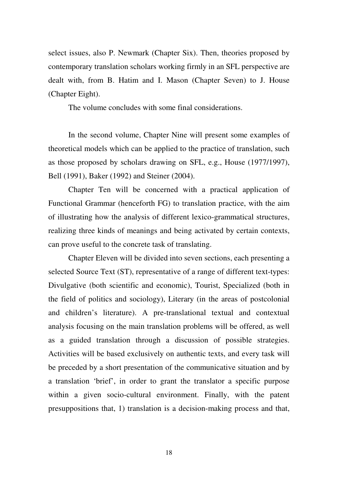select issues, also P. Newmark (Chapter Six). Then, theories proposed by contemporary translation scholars working firmly in an SFL perspective are dealt with, from B. Hatim and I. Mason (Chapter Seven) to J. House (Chapter Eight).

The volume concludes with some final considerations.

In the second volume, Chapter Nine will present some examples of theoretical models which can be applied to the practice of translation, such as those proposed by scholars drawing on SFL, e.g., House (1977/1997), Bell (1991), Baker (1992) and Steiner (2004).

Chapter Ten will be concerned with a practical application of Functional Grammar (henceforth FG) to translation practice, with the aim of illustrating how the analysis of different lexico-grammatical structures, realizing three kinds of meanings and being activated by certain contexts, can prove useful to the concrete task of translating.

Chapter Eleven will be divided into seven sections, each presenting a selected Source Text (ST), representative of a range of different text-types: Divulgative (both scientific and economic), Tourist, Specialized (both in the field of politics and sociology), Literary (in the areas of postcolonial and children's literature). A pre-translational textual and contextual analysis focusing on the main translation problems will be offered, as well as a guided translation through a discussion of possible strategies. Activities will be based exclusively on authentic texts, and every task will be preceded by a short presentation of the communicative situation and by a translation 'brief', in order to grant the translator a specific purpose within a given socio-cultural environment. Finally, with the patent presuppositions that, 1) translation is a decision-making process and that,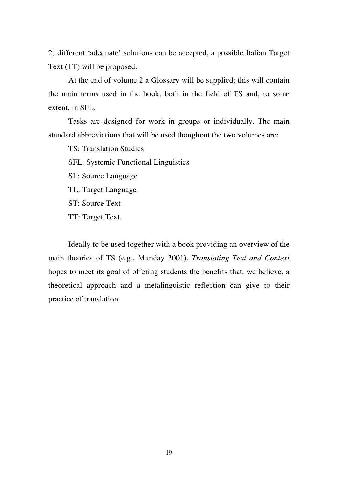2) different 'adequate' solutions can be accepted, a possible Italian Target Text (TT) will be proposed.

At the end of volume 2 a Glossary will be supplied; this will contain the main terms used in the book, both in the field of TS and, to some extent, in SFL.

Tasks are designed for work in groups or individually. The main standard abbreviations that will be used thoughout the two volumes are:

TS: Translation Studies

SFL: Systemic Functional Linguistics

SL: Source Language

TL: Target Language

ST: Source Text

TT: Target Text.

Ideally to be used together with a book providing an overview of the main theories of TS (e.g., Munday 2001), *Translating Text and Context* hopes to meet its goal of offering students the benefits that, we believe, a theoretical approach and a metalinguistic reflection can give to their practice of translation.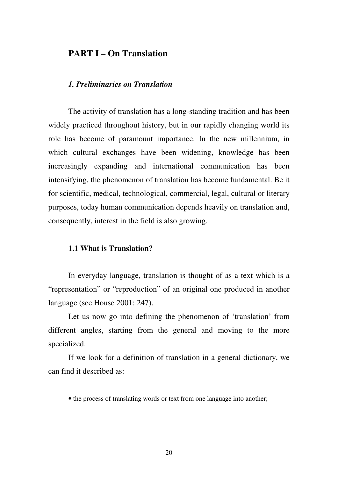# **PART I – On Translation**

## *1. Preliminaries on Translation*

The activity of translation has a long-standing tradition and has been widely practiced throughout history, but in our rapidly changing world its role has become of paramount importance. In the new millennium, in which cultural exchanges have been widening, knowledge has been increasingly expanding and international communication has been intensifying, the phenomenon of translation has become fundamental. Be it for scientific, medical, technological, commercial, legal, cultural or literary purposes, today human communication depends heavily on translation and, consequently, interest in the field is also growing.

## **1.1 What is Translation?**

In everyday language, translation is thought of as a text which is a "representation" or "reproduction" of an original one produced in another language (see House 2001: 247).

Let us now go into defining the phenomenon of 'translation' from different angles, starting from the general and moving to the more specialized.

If we look for a definition of translation in a general dictionary, we can find it described as:

• the process of translating words or text from one language into another;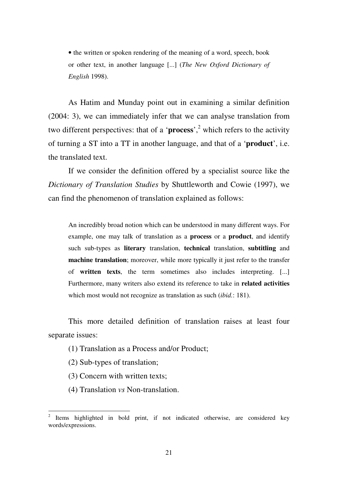• the written or spoken rendering of the meaning of a word, speech, book or other text, in another language [...] (*The New Oxford Dictionary of English* 1998).

As Hatim and Munday point out in examining a similar definition (2004: 3), we can immediately infer that we can analyse translation from two different perspectives: that of a '**process**',<sup>2</sup> which refers to the activity of turning a ST into a TT in another language, and that of a '**product**', i.e. the translated text.

If we consider the definition offered by a specialist source like the *Dictionary of Translation Studies* by Shuttleworth and Cowie (1997), we can find the phenomenon of translation explained as follows:

An incredibly broad notion which can be understood in many different ways. For example, one may talk of translation as a **process** or a **product**, and identify such sub-types as **literary** translation, **technical** translation, **subtitling** and **machine translation**; moreover, while more typically it just refer to the transfer of **written texts**, the term sometimes also includes interpreting. [...] Furthermore, many writers also extend its reference to take in **related activities** which most would not recognize as translation as such (*ibid.*: 181).

This more detailed definition of translation raises at least four separate issues:

- (1) Translation as a Process and/or Product;
- (2) Sub-types of translation;

- (3) Concern with written texts;
- (4) Translation *vs* Non-translation.

<sup>2</sup> Items highlighted in bold print, if not indicated otherwise, are considered key words/expressions.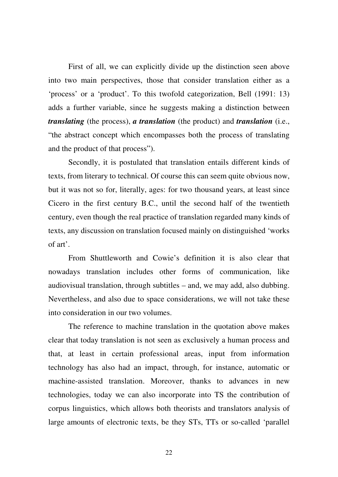First of all, we can explicitly divide up the distinction seen above into two main perspectives, those that consider translation either as a 'process' or a 'product'. To this twofold categorization, Bell (1991: 13) adds a further variable, since he suggests making a distinction between *translating* (the process), *a translation* (the product) and *translation* (i.e., "the abstract concept which encompasses both the process of translating and the product of that process").

Secondly, it is postulated that translation entails different kinds of texts, from literary to technical. Of course this can seem quite obvious now, but it was not so for, literally, ages: for two thousand years, at least since Cicero in the first century B.C., until the second half of the twentieth century, even though the real practice of translation regarded many kinds of texts, any discussion on translation focused mainly on distinguished 'works of art'.

From Shuttleworth and Cowie's definition it is also clear that nowadays translation includes other forms of communication, like audiovisual translation, through subtitles – and, we may add, also dubbing. Nevertheless, and also due to space considerations, we will not take these into consideration in our two volumes.

The reference to machine translation in the quotation above makes clear that today translation is not seen as exclusively a human process and that, at least in certain professional areas, input from information technology has also had an impact, through, for instance, automatic or machine-assisted translation. Moreover, thanks to advances in new technologies, today we can also incorporate into TS the contribution of corpus linguistics, which allows both theorists and translators analysis of large amounts of electronic texts, be they STs, TTs or so-called 'parallel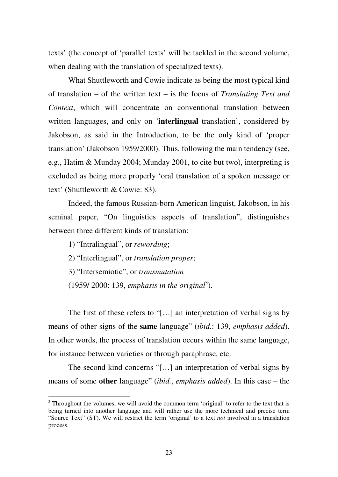texts' (the concept of 'parallel texts' will be tackled in the second volume, when dealing with the translation of specialized texts).

What Shuttleworth and Cowie indicate as being the most typical kind of translation – of the written text – is the focus of *Translating Text and Context*, which will concentrate on conventional translation between written languages, and only on '**interlingual** translation', considered by Jakobson, as said in the Introduction, to be the only kind of 'proper translation' (Jakobson 1959/2000). Thus, following the main tendency (see, e.g., Hatim & Munday 2004; Munday 2001, to cite but two), interpreting is excluded as being more properly 'oral translation of a spoken message or text' (Shuttleworth & Cowie: 83).

Indeed, the famous Russian-born American linguist, Jakobson, in his seminal paper, "On linguistics aspects of translation", distinguishes between three different kinds of translation:

1) "Intralingual", or *rewording*;

<u>.</u>

- 2) "Interlingual", or *translation proper*;
- 3) "Intersemiotic", or *transmutation*
- $(1959/ 2000: 139,$  *emphasis in the original*<sup>3</sup>).

The first of these refers to "[...] an interpretation of verbal signs by means of other signs of the **same** language" (*ibid.*: 139, *emphasis added*). In other words, the process of translation occurs within the same language, for instance between varieties or through paraphrase, etc.

The second kind concerns "[…] an interpretation of verbal signs by means of some **other** language" (*ibid.*, *emphasis added*). In this case – the

<sup>&</sup>lt;sup>3</sup> Throughout the volumes, we will avoid the common term 'original' to refer to the text that is being turned into another language and will rather use the more technical and precise term "Source Text" (ST). We will restrict the term 'original' to a text *not* involved in a translation process.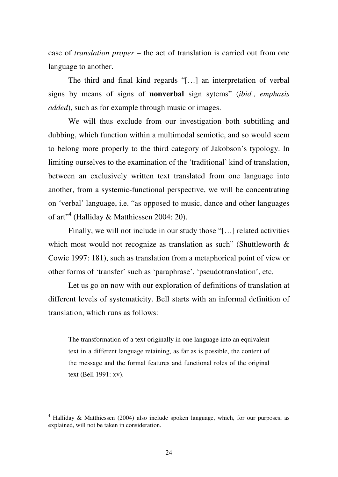case of *translation proper* – the act of translation is carried out from one language to another.

The third and final kind regards "[…] an interpretation of verbal signs by means of signs of **nonverbal** sign sytems" (*ibid.*, *emphasis added*), such as for example through music or images.

We will thus exclude from our investigation both subtitling and dubbing, which function within a multimodal semiotic, and so would seem to belong more properly to the third category of Jakobson's typology. In limiting ourselves to the examination of the 'traditional' kind of translation, between an exclusively written text translated from one language into another, from a systemic-functional perspective, we will be concentrating on 'verbal' language, i.e. "as opposed to music, dance and other languages of art"<sup>4</sup> (Halliday & Matthiessen 2004: 20).

Finally, we will not include in our study those "[…] related activities which most would not recognize as translation as such" (Shuttleworth  $\&$ Cowie 1997: 181), such as translation from a metaphorical point of view or other forms of 'transfer' such as 'paraphrase', 'pseudotranslation', etc.

Let us go on now with our exploration of definitions of translation at different levels of systematicity. Bell starts with an informal definition of translation, which runs as follows:

The transformation of a text originally in one language into an equivalent text in a different language retaining, as far as is possible, the content of the message and the formal features and functional roles of the original text (Bell 1991: xv).

<sup>&</sup>lt;sup>4</sup> Halliday & Matthiessen (2004) also include spoken language, which, for our purposes, as explained, will not be taken in consideration.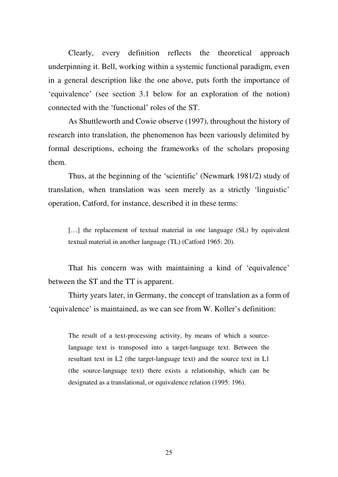Clearly, every definition reflects the theoretical approach underpinning it. Bell, working within a systemic functional paradigm, even in a general description like the one above, puts forth the importance of 'equivalence' (see section 3.1 below for an exploration of the notion) connected with the 'functional' roles of the ST.

As Shuttleworth and Cowie observe (1997), throughout the history of research into translation, the phenomenon has been variously delimited by formal descriptions, echoing the frameworks of the scholars proposing them.

Thus, at the beginning of the 'scientific' (Newmark 1981/2) study of translation, when translation was seen merely as a strictly 'linguistic' operation, Catford, for instance, described it in these terms:

[...] the replacement of textual material in one language (SL) by equivalent textual material in another language (TL) (Catford 1965: 20).

That his concern was with maintaining a kind of 'equivalence' between the ST and the TT is apparent.

Thirty years later, in Germany, the concept of translation as a form of 'equivalence' is maintained, as we can see from W. Koller's definition:

The result of a text-processing activity, by means of which a sourcelanguage text is transposed into a target-language text. Between the resultant text in L2 (the target-language text) and the source text in L1 (the source-language text) there exists a relationship, which can be designated as a translational, or equivalence relation (1995: 196).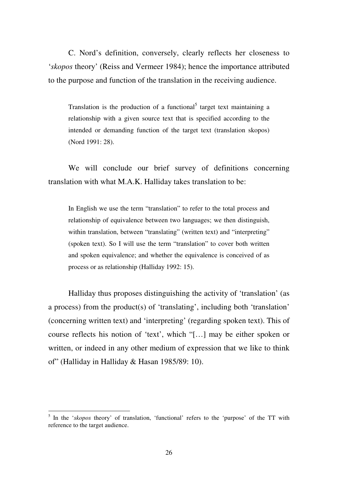C. Nord's definition, conversely, clearly reflects her closeness to '*skopos* theory' (Reiss and Vermeer 1984); hence the importance attributed to the purpose and function of the translation in the receiving audience.

Translation is the production of a functional<sup>5</sup> target text maintaining a relationship with a given source text that is specified according to the intended or demanding function of the target text (translation skopos) (Nord 1991: 28).

We will conclude our brief survey of definitions concerning translation with what M.A.K. Halliday takes translation to be:

In English we use the term "translation" to refer to the total process and relationship of equivalence between two languages; we then distinguish, within translation, between "translating" (written text) and "interpreting" (spoken text). So I will use the term "translation" to cover both written and spoken equivalence; and whether the equivalence is conceived of as process or as relationship (Halliday 1992: 15).

Halliday thus proposes distinguishing the activity of 'translation' (as a process) from the product(s) of 'translating', including both 'translation' (concerning written text) and 'interpreting' (regarding spoken text). This of course reflects his notion of 'text', which "[…] may be either spoken or written, or indeed in any other medium of expression that we like to think of" (Halliday in Halliday & Hasan 1985/89: 10).

<sup>&</sup>lt;sup>5</sup> In the '*skopos* theory' of translation, 'functional' refers to the 'purpose' of the TT with reference to the target audience.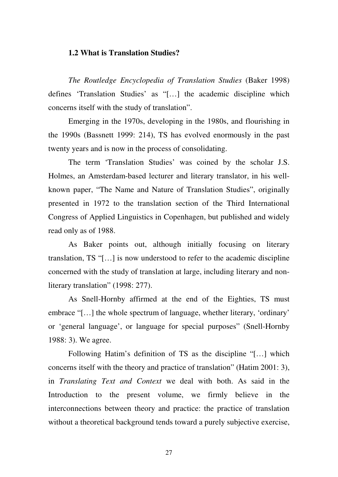#### **1.2 What is Translation Studies?**

*The Routledge Encyclopedia of Translation Studies* (Baker 1998) defines 'Translation Studies' as "[…] the academic discipline which concerns itself with the study of translation".

Emerging in the 1970s, developing in the 1980s, and flourishing in the 1990s (Bassnett 1999: 214), TS has evolved enormously in the past twenty years and is now in the process of consolidating.

The term 'Translation Studies' was coined by the scholar J.S. Holmes, an Amsterdam-based lecturer and literary translator, in his wellknown paper, "The Name and Nature of Translation Studies", originally presented in 1972 to the translation section of the Third International Congress of Applied Linguistics in Copenhagen, but published and widely read only as of 1988.

As Baker points out, although initially focusing on literary translation, TS "[…] is now understood to refer to the academic discipline concerned with the study of translation at large, including literary and nonliterary translation" (1998: 277).

As Snell-Hornby affirmed at the end of the Eighties, TS must embrace "[…] the whole spectrum of language, whether literary, 'ordinary' or 'general language', or language for special purposes" (Snell-Hornby 1988: 3). We agree.

Following Hatim's definition of TS as the discipline "[…] which concerns itself with the theory and practice of translation" (Hatim 2001: 3), in *Translating Text and Context* we deal with both. As said in the Introduction to the present volume, we firmly believe in the interconnections between theory and practice: the practice of translation without a theoretical background tends toward a purely subjective exercise,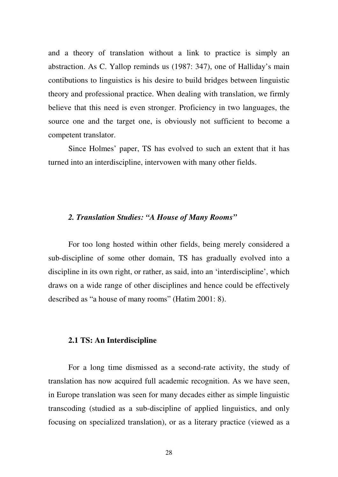and a theory of translation without a link to practice is simply an abstraction. As C. Yallop reminds us (1987: 347), one of Halliday's main contibutions to linguistics is his desire to build bridges between linguistic theory and professional practice. When dealing with translation, we firmly believe that this need is even stronger. Proficiency in two languages, the source one and the target one, is obviously not sufficient to become a competent translator.

Since Holmes' paper, TS has evolved to such an extent that it has turned into an interdiscipline, intervowen with many other fields.

#### *2. Translation Studies: "A House of Many Rooms"*

For too long hosted within other fields, being merely considered a sub-discipline of some other domain, TS has gradually evolved into a discipline in its own right, or rather, as said, into an 'interdiscipline', which draws on a wide range of other disciplines and hence could be effectively described as "a house of many rooms" (Hatim 2001: 8).

#### **2.1 TS: An Interdiscipline**

For a long time dismissed as a second-rate activity, the study of translation has now acquired full academic recognition. As we have seen, in Europe translation was seen for many decades either as simple linguistic transcoding (studied as a sub-discipline of applied linguistics, and only focusing on specialized translation), or as a literary practice (viewed as a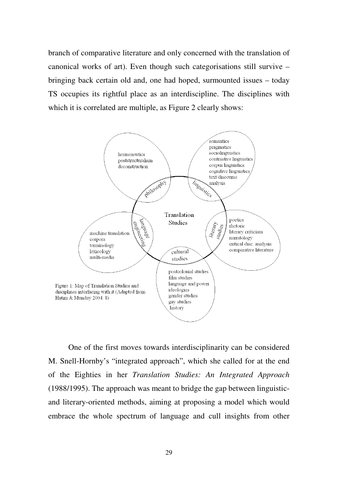branch of comparative literature and only concerned with the translation of canonical works of art). Even though such categorisations still survive – bringing back certain old and, one had hoped, surmounted issues – today TS occupies its rightful place as an interdiscipline. The disciplines with which it is correlated are multiple, as Figure 2 clearly shows:



One of the first moves towards interdisciplinarity can be considered M. Snell-Hornby's "integrated approach", which she called for at the end of the Eighties in her *Translation Studies: An Integrated Approach* (1988/1995). The approach was meant to bridge the gap between linguisticand literary-oriented methods, aiming at proposing a model which would embrace the whole spectrum of language and cull insights from other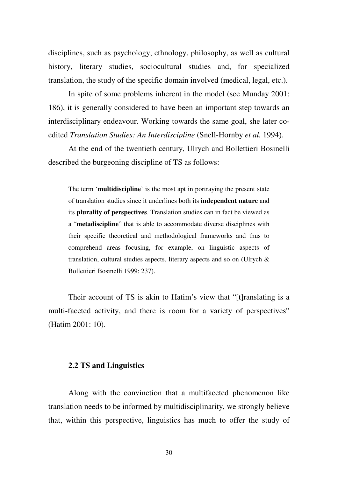disciplines, such as psychology, ethnology, philosophy, as well as cultural history, literary studies, sociocultural studies and, for specialized translation, the study of the specific domain involved (medical, legal, etc.).

In spite of some problems inherent in the model (see Munday 2001: 186), it is generally considered to have been an important step towards an interdisciplinary endeavour. Working towards the same goal, she later coedited *Translation Studies: An Interdiscipline* (Snell-Hornby *et al.* 1994).

At the end of the twentieth century, Ulrych and Bollettieri Bosinelli described the burgeoning discipline of TS as follows:

The term '**multidiscipline**' is the most apt in portraying the present state of translation studies since it underlines both its **independent nature** and its **plurality of perspectives**. Translation studies can in fact be viewed as a "**metadiscipline**" that is able to accommodate diverse disciplines with their specific theoretical and methodological frameworks and thus to comprehend areas focusing, for example, on linguistic aspects of translation, cultural studies aspects, literary aspects and so on (Ulrych & Bollettieri Bosinelli 1999: 237).

Their account of TS is akin to Hatim's view that "[t]ranslating is a multi-faceted activity, and there is room for a variety of perspectives" (Hatim 2001: 10).

#### **2.2 TS and Linguistics**

Along with the convinction that a multifaceted phenomenon like translation needs to be informed by multidisciplinarity, we strongly believe that, within this perspective, linguistics has much to offer the study of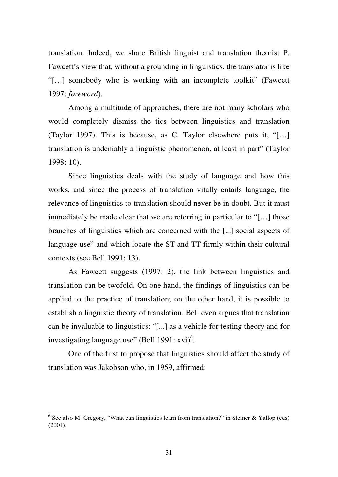translation. Indeed, we share British linguist and translation theorist P. Fawcett's view that, without a grounding in linguistics, the translator is like "[…] somebody who is working with an incomplete toolkit" (Fawcett 1997: *foreword*).

Among a multitude of approaches, there are not many scholars who would completely dismiss the ties between linguistics and translation (Taylor 1997). This is because, as C. Taylor elsewhere puts it, "[…] translation is undeniably a linguistic phenomenon, at least in part" (Taylor 1998: 10).

Since linguistics deals with the study of language and how this works, and since the process of translation vitally entails language, the relevance of linguistics to translation should never be in doubt. But it must immediately be made clear that we are referring in particular to "[…] those branches of linguistics which are concerned with the [...] social aspects of language use" and which locate the ST and TT firmly within their cultural contexts (see Bell 1991: 13).

As Fawcett suggests (1997: 2), the link between linguistics and translation can be twofold. On one hand, the findings of linguistics can be applied to the practice of translation; on the other hand, it is possible to establish a linguistic theory of translation. Bell even argues that translation can be invaluable to linguistics: "[...] as a vehicle for testing theory and for investigating language use" (Bell 1991:  $xvi$ )<sup>6</sup>.

One of the first to propose that linguistics should affect the study of translation was Jakobson who, in 1959, affirmed:

<sup>&</sup>lt;sup>6</sup> See also M. Gregory, "What can linguistics learn from translation?" in Steiner & Yallop (eds)  $(2001)$ .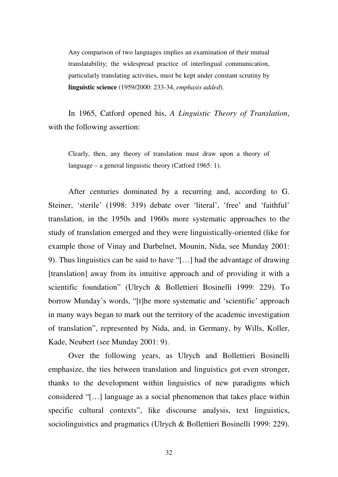Any comparison of two languages implies an examination of their mutual translatability; the widespread practice of interlingual communication, particularly translating activities, must be kept under constant scrutiny by **linguistic science** (1959/2000: 233-34, *emphasis added*).

In 1965, Catford opened his, *A Linguistic Theory of Translation*, with the following assertion:

Clearly, then, any theory of translation must draw upon a theory of language – a general linguistic theory (Catford 1965: 1).

After centuries dominated by a recurring and, according to G. Steiner, 'sterile' (1998: 319) debate over 'literal', 'free' and 'faithful' translation, in the 1950s and 1960s more systematic approaches to the study of translation emerged and they were linguistically-oriented (like for example those of Vinay and Darbelnet, Mounin, Nida, see Munday 2001: 9). Thus linguistics can be said to have "[…] had the advantage of drawing [translation] away from its intuitive approach and of providing it with a scientific foundation" (Ulrych & Bollettieri Bosinelli 1999: 229). To borrow Munday's words, "[t]he more systematic and 'scientific' approach in many ways began to mark out the territory of the academic investigation of translation", represented by Nida, and, in Germany, by Wills, Koller, Kade, Neubert (see Munday 2001: 9).

Over the following years, as Ulrych and Bollettieri Bosinelli emphasize, the ties between translation and linguistics got even stronger, thanks to the development within linguistics of new paradigms which considered "[…] language as a social phenomenon that takes place within specific cultural contexts", like discourse analysis, text linguistics, sociolinguistics and pragmatics (Ulrych & Bollettieri Bosinelli 1999: 229).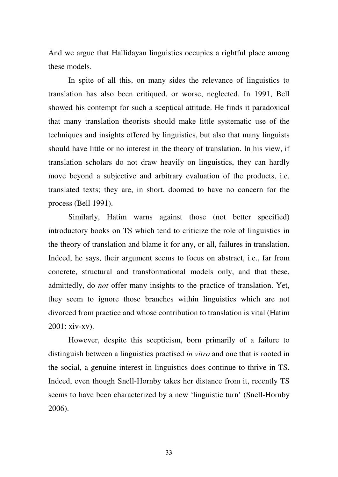And we argue that Hallidayan linguistics occupies a rightful place among these models.

In spite of all this, on many sides the relevance of linguistics to translation has also been critiqued, or worse, neglected. In 1991, Bell showed his contempt for such a sceptical attitude. He finds it paradoxical that many translation theorists should make little systematic use of the techniques and insights offered by linguistics, but also that many linguists should have little or no interest in the theory of translation. In his view, if translation scholars do not draw heavily on linguistics, they can hardly move beyond a subjective and arbitrary evaluation of the products, i.e. translated texts; they are, in short, doomed to have no concern for the process (Bell 1991).

Similarly, Hatim warns against those (not better specified) introductory books on TS which tend to criticize the role of linguistics in the theory of translation and blame it for any, or all, failures in translation. Indeed, he says, their argument seems to focus on abstract, i.e., far from concrete, structural and transformational models only, and that these, admittedly, do *not* offer many insights to the practice of translation. Yet, they seem to ignore those branches within linguistics which are not divorced from practice and whose contribution to translation is vital (Hatim 2001: xiv-xv).

However, despite this scepticism, born primarily of a failure to distinguish between a linguistics practised *in vitro* and one that is rooted in the social, a genuine interest in linguistics does continue to thrive in TS. Indeed, even though Snell-Hornby takes her distance from it, recently TS seems to have been characterized by a new 'linguistic turn' (Snell-Hornby 2006).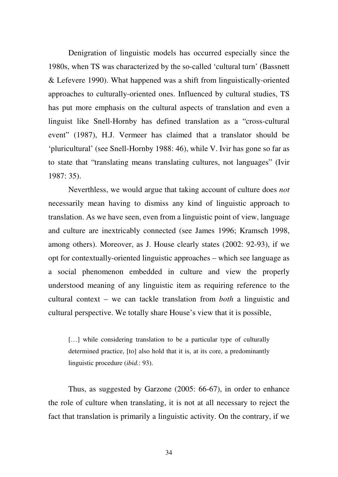Denigration of linguistic models has occurred especially since the 1980s, when TS was characterized by the so-called 'cultural turn' (Bassnett & Lefevere 1990). What happened was a shift from linguistically-oriented approaches to culturally-oriented ones. Influenced by cultural studies, TS has put more emphasis on the cultural aspects of translation and even a linguist like Snell-Hornby has defined translation as a "cross-cultural event" (1987), H.J. Vermeer has claimed that a translator should be 'pluricultural' (see Snell-Hornby 1988: 46), while V. Ivir has gone so far as to state that "translating means translating cultures, not languages" (Ivir 1987: 35).

Neverthless, we would argue that taking account of culture does *not* necessarily mean having to dismiss any kind of linguistic approach to translation. As we have seen, even from a linguistic point of view, language and culture are inextricably connected (see James 1996; Kramsch 1998, among others). Moreover, as J. House clearly states (2002: 92-93), if we opt for contextually-oriented linguistic approaches – which see language as a social phenomenon embedded in culture and view the properly understood meaning of any linguistic item as requiring reference to the cultural context – we can tackle translation from *both* a linguistic and cultural perspective. We totally share House's view that it is possible,

[...] while considering translation to be a particular type of culturally determined practice, [to] also hold that it is, at its core, a predominantly linguistic procedure (*ibid.*: 93).

Thus, as suggested by Garzone (2005: 66-67), in order to enhance the role of culture when translating, it is not at all necessary to reject the fact that translation is primarily a linguistic activity. On the contrary, if we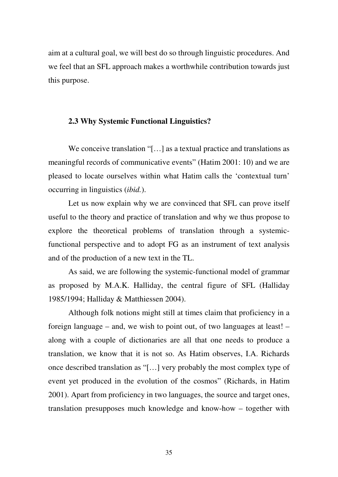aim at a cultural goal, we will best do so through linguistic procedures. And we feel that an SFL approach makes a worthwhile contribution towards just this purpose.

## **2.3 Why Systemic Functional Linguistics?**

We conceive translation "[...] as a textual practice and translations as meaningful records of communicative events" (Hatim 2001: 10) and we are pleased to locate ourselves within what Hatim calls the 'contextual turn' occurring in linguistics (*ibid.*).

Let us now explain why we are convinced that SFL can prove itself useful to the theory and practice of translation and why we thus propose to explore the theoretical problems of translation through a systemicfunctional perspective and to adopt FG as an instrument of text analysis and of the production of a new text in the TL.

As said, we are following the systemic-functional model of grammar as proposed by M.A.K. Halliday, the central figure of SFL (Halliday 1985/1994; Halliday & Matthiessen 2004).

Although folk notions might still at times claim that proficiency in a foreign language – and, we wish to point out, of two languages at least! – along with a couple of dictionaries are all that one needs to produce a translation, we know that it is not so. As Hatim observes, I.A. Richards once described translation as "[…] very probably the most complex type of event yet produced in the evolution of the cosmos" (Richards, in Hatim 2001). Apart from proficiency in two languages, the source and target ones, translation presupposes much knowledge and know-how – together with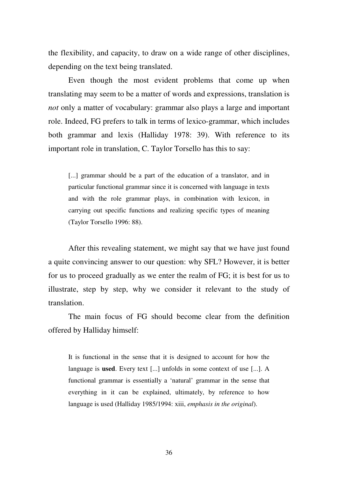the flexibility, and capacity, to draw on a wide range of other disciplines, depending on the text being translated.

Even though the most evident problems that come up when translating may seem to be a matter of words and expressions, translation is *not* only a matter of vocabulary: grammar also plays a large and important role. Indeed, FG prefers to talk in terms of lexico-grammar, which includes both grammar and lexis (Halliday 1978: 39). With reference to its important role in translation, C. Taylor Torsello has this to say:

[...] grammar should be a part of the education of a translator, and in particular functional grammar since it is concerned with language in texts and with the role grammar plays, in combination with lexicon, in carrying out specific functions and realizing specific types of meaning (Taylor Torsello 1996: 88).

After this revealing statement, we might say that we have just found a quite convincing answer to our question: why SFL? However, it is better for us to proceed gradually as we enter the realm of FG; it is best for us to illustrate, step by step, why we consider it relevant to the study of translation.

The main focus of FG should become clear from the definition offered by Halliday himself:

It is functional in the sense that it is designed to account for how the language is **used**. Every text [...] unfolds in some context of use [...]. A functional grammar is essentially a 'natural' grammar in the sense that everything in it can be explained, ultimately, by reference to how language is used (Halliday 1985/1994: xiii, *emphasis in the original*).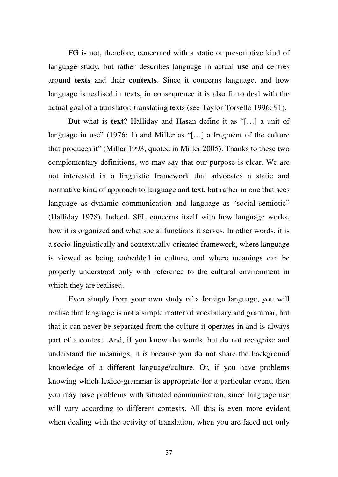FG is not, therefore, concerned with a static or prescriptive kind of language study, but rather describes language in actual **use** and centres around **texts** and their **contexts**. Since it concerns language, and how language is realised in texts, in consequence it is also fit to deal with the actual goal of a translator: translating texts (see Taylor Torsello 1996: 91).

But what is **text**? Halliday and Hasan define it as "[…] a unit of language in use" (1976: 1) and Miller as "[...] a fragment of the culture that produces it" (Miller 1993, quoted in Miller 2005). Thanks to these two complementary definitions, we may say that our purpose is clear. We are not interested in a linguistic framework that advocates a static and normative kind of approach to language and text, but rather in one that sees language as dynamic communication and language as "social semiotic" (Halliday 1978). Indeed, SFL concerns itself with how language works, how it is organized and what social functions it serves. In other words, it is a socio-linguistically and contextually-oriented framework, where language is viewed as being embedded in culture, and where meanings can be properly understood only with reference to the cultural environment in which they are realised.

Even simply from your own study of a foreign language, you will realise that language is not a simple matter of vocabulary and grammar, but that it can never be separated from the culture it operates in and is always part of a context. And, if you know the words, but do not recognise and understand the meanings, it is because you do not share the background knowledge of a different language/culture. Or, if you have problems knowing which lexico-grammar is appropriate for a particular event, then you may have problems with situated communication, since language use will vary according to different contexts. All this is even more evident when dealing with the activity of translation, when you are faced not only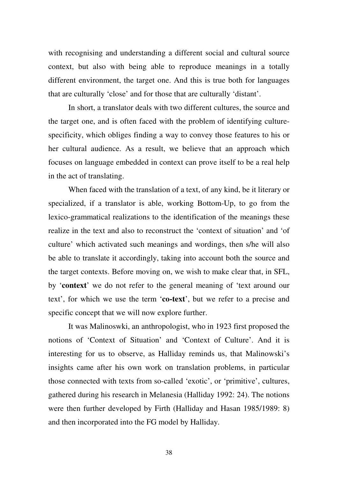with recognising and understanding a different social and cultural source context, but also with being able to reproduce meanings in a totally different environment, the target one. And this is true both for languages that are culturally 'close' and for those that are culturally 'distant'.

In short, a translator deals with two different cultures, the source and the target one, and is often faced with the problem of identifying culturespecificity, which obliges finding a way to convey those features to his or her cultural audience. As a result, we believe that an approach which focuses on language embedded in context can prove itself to be a real help in the act of translating.

When faced with the translation of a text, of any kind, be it literary or specialized, if a translator is able, working Bottom-Up, to go from the lexico-grammatical realizations to the identification of the meanings these realize in the text and also to reconstruct the 'context of situation' and 'of culture' which activated such meanings and wordings, then s/he will also be able to translate it accordingly, taking into account both the source and the target contexts. Before moving on, we wish to make clear that, in SFL, by '**context**' we do not refer to the general meaning of 'text around our text', for which we use the term '**co-text**', but we refer to a precise and specific concept that we will now explore further.

It was Malinoswki, an anthropologist, who in 1923 first proposed the notions of 'Context of Situation' and 'Context of Culture'. And it is interesting for us to observe, as Halliday reminds us, that Malinowski's insights came after his own work on translation problems, in particular those connected with texts from so-called 'exotic', or 'primitive', cultures, gathered during his research in Melanesia (Halliday 1992: 24). The notions were then further developed by Firth (Halliday and Hasan 1985/1989: 8) and then incorporated into the FG model by Halliday.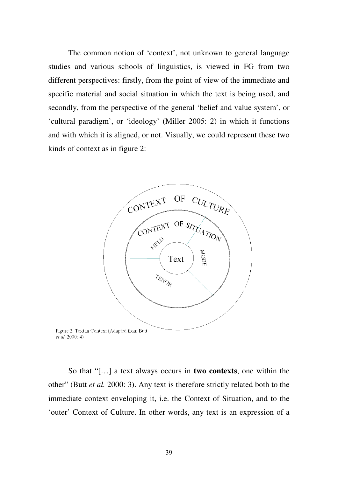The common notion of 'context', not unknown to general language studies and various schools of linguistics, is viewed in FG from two different perspectives: firstly, from the point of view of the immediate and specific material and social situation in which the text is being used, and secondly, from the perspective of the general 'belief and value system', or 'cultural paradigm', or 'ideology' (Miller 2005: 2) in which it functions and with which it is aligned, or not. Visually, we could represent these two kinds of context as in figure 2:



Figure 2: Text in Context (Adapted from Butt et al. 2000: 4)

So that "[…] a text always occurs in **two contexts**, one within the other" (Butt *et al.* 2000: 3). Any text is therefore strictly related both to the immediate context enveloping it, i.e. the Context of Situation, and to the 'outer' Context of Culture. In other words, any text is an expression of a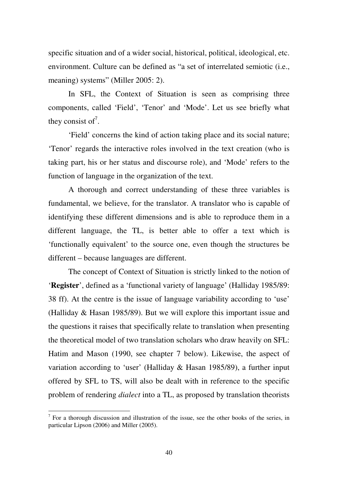specific situation and of a wider social, historical, political, ideological, etc. environment. Culture can be defined as "a set of interrelated semiotic (i.e., meaning) systems" (Miller 2005: 2).

In SFL, the Context of Situation is seen as comprising three components, called 'Field', 'Tenor' and 'Mode'. Let us see briefly what they consist of<sup>7</sup>.

'Field' concerns the kind of action taking place and its social nature; 'Tenor' regards the interactive roles involved in the text creation (who is taking part, his or her status and discourse role), and 'Mode' refers to the function of language in the organization of the text.

A thorough and correct understanding of these three variables is fundamental, we believe, for the translator. A translator who is capable of identifying these different dimensions and is able to reproduce them in a different language, the TL, is better able to offer a text which is 'functionally equivalent' to the source one, even though the structures be different – because languages are different.

The concept of Context of Situation is strictly linked to the notion of '**Register**', defined as a 'functional variety of language' (Halliday 1985/89: 38 ff). At the centre is the issue of language variability according to 'use' (Halliday & Hasan 1985/89). But we will explore this important issue and the questions it raises that specifically relate to translation when presenting the theoretical model of two translation scholars who draw heavily on SFL: Hatim and Mason (1990, see chapter 7 below). Likewise, the aspect of variation according to 'user' (Halliday & Hasan 1985/89), a further input offered by SFL to TS, will also be dealt with in reference to the specific problem of rendering *dialect* into a TL, as proposed by translation theorists

 $<sup>7</sup>$  For a thorough discussion and illustration of the issue, see the other books of the series, in</sup> particular Lipson (2006) and Miller (2005).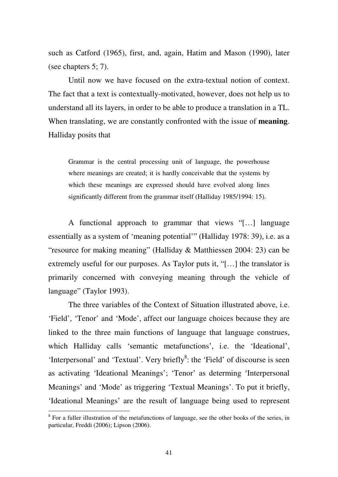such as Catford (1965), first, and, again, Hatim and Mason (1990), later (see chapters 5; 7).

Until now we have focused on the extra-textual notion of context. The fact that a text is contextually-motivated, however, does not help us to understand all its layers, in order to be able to produce a translation in a TL. When translating, we are constantly confronted with the issue of **meaning**. Halliday posits that

Grammar is the central processing unit of language, the powerhouse where meanings are created; it is hardly conceivable that the systems by which these meanings are expressed should have evolved along lines significantly different from the grammar itself (Halliday 1985/1994: 15).

A functional approach to grammar that views "[…] language essentially as a system of 'meaning potential'" (Halliday 1978: 39), i.e. as a "resource for making meaning" (Halliday & Matthiessen 2004: 23) can be extremely useful for our purposes. As Taylor puts it, "[…] the translator is primarily concerned with conveying meaning through the vehicle of language" (Taylor 1993).

The three variables of the Context of Situation illustrated above, i.e. 'Field', 'Tenor' and 'Mode', affect our language choices because they are linked to the three main functions of language that language construes, which Halliday calls 'semantic metafunctions', i.e. the 'Ideational', 'Interpersonal' and 'Textual'. Very briefly<sup>8</sup>: the 'Field' of discourse is seen as activating 'Ideational Meanings'; 'Tenor' as determing 'Interpersonal Meanings' and 'Mode' as triggering 'Textual Meanings'. To put it briefly, 'Ideational Meanings' are the result of language being used to represent

<sup>&</sup>lt;sup>8</sup> For a fuller illustration of the metafunctions of language, see the other books of the series, in particular, Freddi (2006); Lipson (2006).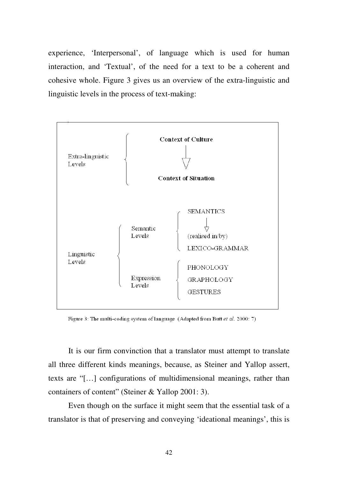experience, 'Interpersonal', of language which is used for human interaction, and 'Textual', of the need for a text to be a coherent and cohesive whole. Figure 3 gives us an overview of the extra-linguistic and linguistic levels in the process of text-making:



Figure 3: The multi-coding system of language (Adapted from Butt et al. 2000: 7)

It is our firm convinction that a translator must attempt to translate all three different kinds meanings, because, as Steiner and Yallop assert, texts are "[…] configurations of multidimensional meanings, rather than containers of content" (Steiner & Yallop 2001: 3).

Even though on the surface it might seem that the essential task of a translator is that of preserving and conveying 'ideational meanings', this is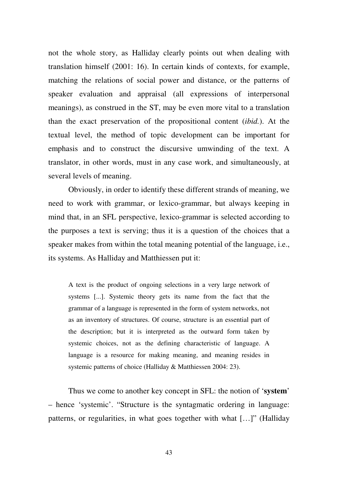not the whole story, as Halliday clearly points out when dealing with translation himself (2001: 16). In certain kinds of contexts, for example, matching the relations of social power and distance, or the patterns of speaker evaluation and appraisal (all expressions of interpersonal meanings), as construed in the ST, may be even more vital to a translation than the exact preservation of the propositional content (*ibid.*). At the textual level, the method of topic development can be important for emphasis and to construct the discursive umwinding of the text. A translator, in other words, must in any case work, and simultaneously, at several levels of meaning.

Obviously, in order to identify these different strands of meaning, we need to work with grammar, or lexico-grammar, but always keeping in mind that, in an SFL perspective, lexico-grammar is selected according to the purposes a text is serving; thus it is a question of the choices that a speaker makes from within the total meaning potential of the language, i.e., its systems. As Halliday and Matthiessen put it:

A text is the product of ongoing selections in a very large network of systems [...]. Systemic theory gets its name from the fact that the grammar of a language is represented in the form of system networks, not as an inventory of structures. Of course, structure is an essential part of the description; but it is interpreted as the outward form taken by systemic choices, not as the defining characteristic of language. A language is a resource for making meaning, and meaning resides in systemic patterns of choice (Halliday & Matthiessen 2004: 23).

Thus we come to another key concept in SFL: the notion of '**system**' – hence 'systemic'. "Structure is the syntagmatic ordering in language: patterns, or regularities, in what goes together with what […]" (Halliday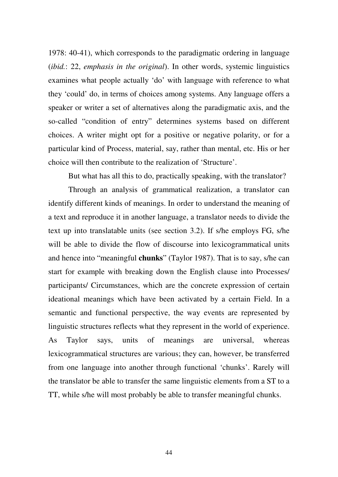1978: 40-41), which corresponds to the paradigmatic ordering in language (*ibid.*: 22, *emphasis in the original*). In other words, systemic linguistics examines what people actually 'do' with language with reference to what they 'could' do, in terms of choices among systems. Any language offers a speaker or writer a set of alternatives along the paradigmatic axis, and the so-called "condition of entry" determines systems based on different choices. A writer might opt for a positive or negative polarity, or for a particular kind of Process, material, say, rather than mental, etc. His or her choice will then contribute to the realization of 'Structure'.

But what has all this to do, practically speaking, with the translator?

Through an analysis of grammatical realization, a translator can identify different kinds of meanings. In order to understand the meaning of a text and reproduce it in another language, a translator needs to divide the text up into translatable units (see section 3.2). If s/he employs FG, s/he will be able to divide the flow of discourse into lexicogrammatical units and hence into "meaningful **chunks**" (Taylor 1987). That is to say, s/he can start for example with breaking down the English clause into Processes/ participants/ Circumstances, which are the concrete expression of certain ideational meanings which have been activated by a certain Field. In a semantic and functional perspective, the way events are represented by linguistic structures reflects what they represent in the world of experience. As Taylor says, units of meanings are universal, whereas lexicogrammatical structures are various; they can, however, be transferred from one language into another through functional 'chunks'. Rarely will the translator be able to transfer the same linguistic elements from a ST to a TT, while s/he will most probably be able to transfer meaningful chunks.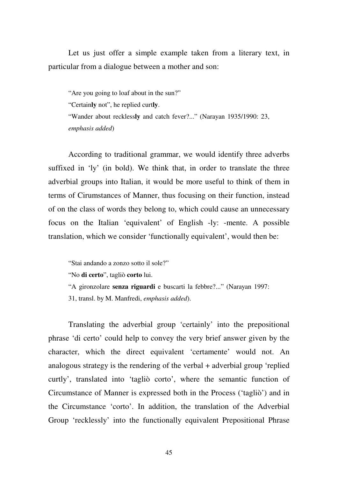Let us just offer a simple example taken from a literary text, in particular from a dialogue between a mother and son:

"Are you going to loaf about in the sun?" "Certain**ly** not", he replied curt**ly**. "Wander about reckless**ly** and catch fever?..." (Narayan 1935/1990: 23, *emphasis added*)

According to traditional grammar, we would identify three adverbs suffixed in 'ly' (in bold). We think that, in order to translate the three adverbial groups into Italian, it would be more useful to think of them in terms of Cirumstances of Manner, thus focusing on their function, instead of on the class of words they belong to, which could cause an unnecessary focus on the Italian 'equivalent' of English -ly: -mente. A possible translation, which we consider 'functionally equivalent', would then be:

"Stai andando a zonzo sotto il sole?"

"No **di certo**", tagliò **corto** lui.

"A gironzolare **senza riguardi** e buscarti la febbre?..." (Narayan 1997:

31, transl. by M. Manfredi, *emphasis added*).

Translating the adverbial group 'certainly' into the prepositional phrase 'di certo' could help to convey the very brief answer given by the character, which the direct equivalent 'certamente' would not. An analogous strategy is the rendering of the verbal + adverbial group 'replied curtly', translated into 'tagliò corto', where the semantic function of Circumstance of Manner is expressed both in the Process ('tagliò') and in the Circumstance 'corto'. In addition, the translation of the Adverbial Group 'recklessly' into the functionally equivalent Prepositional Phrase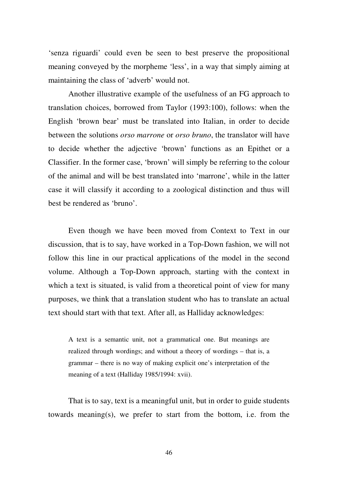'senza riguardi' could even be seen to best preserve the propositional meaning conveyed by the morpheme 'less', in a way that simply aiming at maintaining the class of 'adverb' would not.

Another illustrative example of the usefulness of an FG approach to translation choices, borrowed from Taylor (1993:100), follows: when the English 'brown bear' must be translated into Italian, in order to decide between the solutions *orso marrone* or *orso bruno*, the translator will have to decide whether the adjective 'brown' functions as an Epithet or a Classifier. In the former case, 'brown' will simply be referring to the colour of the animal and will be best translated into 'marrone', while in the latter case it will classify it according to a zoological distinction and thus will best be rendered as 'bruno'.

Even though we have been moved from Context to Text in our discussion, that is to say, have worked in a Top-Down fashion, we will not follow this line in our practical applications of the model in the second volume. Although a Top-Down approach, starting with the context in which a text is situated, is valid from a theoretical point of view for many purposes, we think that a translation student who has to translate an actual text should start with that text. After all, as Halliday acknowledges:

A text is a semantic unit, not a grammatical one. But meanings are realized through wordings; and without a theory of wordings – that is, a grammar – there is no way of making explicit one's interpretation of the meaning of a text (Halliday 1985/1994: xvii).

That is to say, text is a meaningful unit, but in order to guide students towards meaning(s), we prefer to start from the bottom, i.e. from the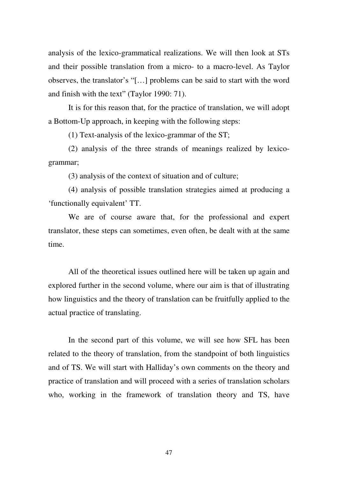analysis of the lexico-grammatical realizations. We will then look at STs and their possible translation from a micro- to a macro-level. As Taylor observes, the translator's "[…] problems can be said to start with the word and finish with the text" (Taylor 1990: 71).

It is for this reason that, for the practice of translation, we will adopt a Bottom-Up approach, in keeping with the following steps:

(1) Text-analysis of the lexico-grammar of the ST;

(2) analysis of the three strands of meanings realized by lexicogrammar;

(3) analysis of the context of situation and of culture;

(4) analysis of possible translation strategies aimed at producing a 'functionally equivalent' TT.

We are of course aware that, for the professional and expert translator, these steps can sometimes, even often, be dealt with at the same time.

All of the theoretical issues outlined here will be taken up again and explored further in the second volume, where our aim is that of illustrating how linguistics and the theory of translation can be fruitfully applied to the actual practice of translating.

In the second part of this volume, we will see how SFL has been related to the theory of translation, from the standpoint of both linguistics and of TS. We will start with Halliday's own comments on the theory and practice of translation and will proceed with a series of translation scholars who, working in the framework of translation theory and TS, have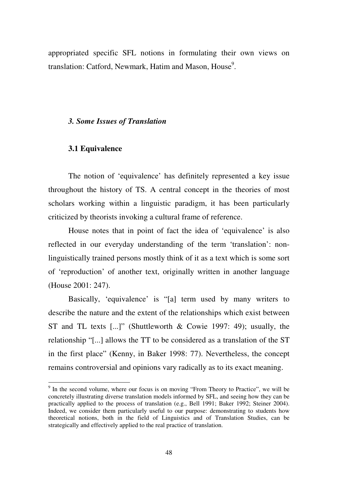appropriated specific SFL notions in formulating their own views on translation: Catford, Newmark, Hatim and Mason, House<sup>9</sup>.

## *3. Some Issues of Translation*

## **3.1 Equivalence**

<u>.</u>

The notion of 'equivalence' has definitely represented a key issue throughout the history of TS. A central concept in the theories of most scholars working within a linguistic paradigm, it has been particularly criticized by theorists invoking a cultural frame of reference.

House notes that in point of fact the idea of 'equivalence' is also reflected in our everyday understanding of the term 'translation': nonlinguistically trained persons mostly think of it as a text which is some sort of 'reproduction' of another text, originally written in another language (House 2001: 247).

Basically, 'equivalence' is "[a] term used by many writers to describe the nature and the extent of the relationships which exist between ST and TL texts [...]" (Shuttleworth & Cowie 1997: 49); usually, the relationship "[...] allows the TT to be considered as a translation of the ST in the first place" (Kenny, in Baker 1998: 77). Nevertheless, the concept remains controversial and opinions vary radically as to its exact meaning.

<sup>&</sup>lt;sup>9</sup> In the second volume, where our focus is on moving "From Theory to Practice", we will be concretely illustrating diverse translation models informed by SFL, and seeing how they can be practically applied to the process of translation (e.g., Bell 1991; Baker 1992; Steiner 2004). Indeed, we consider them particularly useful to our purpose: demonstrating to students how theoretical notions, both in the field of Linguistics and of Translation Studies, can be strategically and effectively applied to the real practice of translation.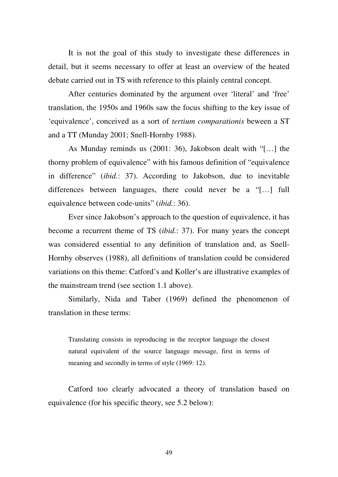It is not the goal of this study to investigate these differences in detail, but it seems necessary to offer at least an overview of the heated debate carried out in TS with reference to this plainly central concept.

After centuries dominated by the argument over 'literal' and 'free' translation, the 1950s and 1960s saw the focus shifting to the key issue of 'equivalence', conceived as a sort of *tertium comparationis* beween a ST and a TT (Munday 2001; Snell-Hornby 1988).

As Munday reminds us (2001: 36), Jakobson dealt with "[…] the thorny problem of equivalence" with his famous definition of "equivalence in difference" (*ibid.*: 37). According to Jakobson, due to inevitable differences between languages, there could never be a "[…] full equivalence between code-units" (*ibid.*: 36).

Ever since Jakobson's approach to the question of equivalence, it has become a recurrent theme of TS (*ibid.*: 37). For many years the concept was considered essential to any definition of translation and, as Snell-Hornby observes (1988), all definitions of translation could be considered variations on this theme: Catford's and Koller's are illustrative examples of the mainstream trend (see section 1.1 above).

Similarly, Nida and Taber (1969) defined the phenomenon of translation in these terms:

Translating consists in reproducing in the receptor language the closest natural equivalent of the source language message, first in terms of meaning and secondly in terms of style (1969: 12).

Catford too clearly advocated a theory of translation based on equivalence (for his specific theory, see 5.2 below):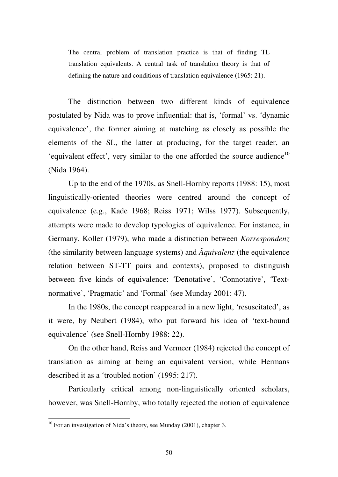The central problem of translation practice is that of finding TL translation equivalents. A central task of translation theory is that of defining the nature and conditions of translation equivalence (1965: 21).

The distinction between two different kinds of equivalence postulated by Nida was to prove influential: that is, 'formal' vs. 'dynamic equivalence', the former aiming at matching as closely as possible the elements of the SL, the latter at producing, for the target reader, an 'equivalent effect', very similar to the one afforded the source audience $10$ (Nida 1964).

Up to the end of the 1970s, as Snell-Hornby reports (1988: 15), most linguistically-oriented theories were centred around the concept of equivalence (e.g., Kade 1968; Reiss 1971; Wilss 1977). Subsequently, attempts were made to develop typologies of equivalence. For instance, in Germany, Koller (1979), who made a distinction between *Korrespondenz* (the similarity between language systems) and *Äquivalenz* (the equivalence relation between ST-TT pairs and contexts), proposed to distinguish between five kinds of equivalence: 'Denotative', 'Connotative', 'Textnormative', 'Pragmatic' and 'Formal' (see Munday 2001: 47).

In the 1980s, the concept reappeared in a new light, 'resuscitated', as it were, by Neubert (1984), who put forward his idea of 'text-bound equivalence' (see Snell-Hornby 1988: 22).

On the other hand, Reiss and Vermeer (1984) rejected the concept of translation as aiming at being an equivalent version, while Hermans described it as a 'troubled notion' (1995: 217).

Particularly critical among non-linguistically oriented scholars, however, was Snell-Hornby, who totally rejected the notion of equivalence

 $10$  For an investigation of Nida's theory, see Munday (2001), chapter 3.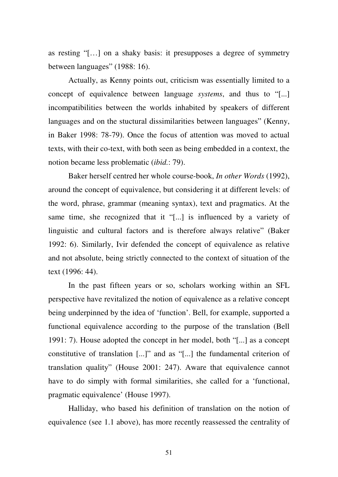as resting "[…] on a shaky basis: it presupposes a degree of symmetry between languages" (1988: 16).

Actually, as Kenny points out, criticism was essentially limited to a concept of equivalence between language *systems*, and thus to "[...] incompatibilities between the worlds inhabited by speakers of different languages and on the stuctural dissimilarities between languages" (Kenny, in Baker 1998: 78-79). Once the focus of attention was moved to actual texts, with their co-text, with both seen as being embedded in a context, the notion became less problematic (*ibid.*: 79).

Baker herself centred her whole course-book, *In other Words* (1992), around the concept of equivalence, but considering it at different levels: of the word, phrase, grammar (meaning syntax), text and pragmatics. At the same time, she recognized that it "[...] is influenced by a variety of linguistic and cultural factors and is therefore always relative" (Baker 1992: 6). Similarly, Ivir defended the concept of equivalence as relative and not absolute, being strictly connected to the context of situation of the text (1996: 44).

In the past fifteen years or so, scholars working within an SFL perspective have revitalized the notion of equivalence as a relative concept being underpinned by the idea of 'function'. Bell, for example, supported a functional equivalence according to the purpose of the translation (Bell 1991: 7). House adopted the concept in her model, both "[...] as a concept constitutive of translation [...]" and as "[...] the fundamental criterion of translation quality" (House 2001: 247). Aware that equivalence cannot have to do simply with formal similarities, she called for a 'functional, pragmatic equivalence' (House 1997).

Halliday, who based his definition of translation on the notion of equivalence (see 1.1 above), has more recently reassessed the centrality of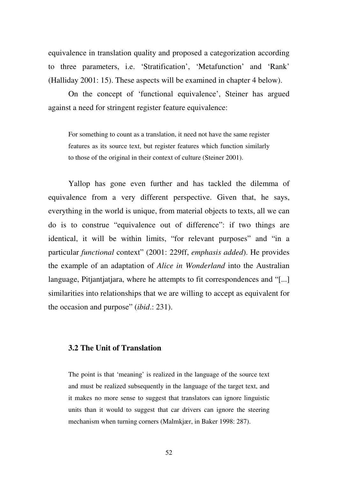equivalence in translation quality and proposed a categorization according to three parameters, i.e. 'Stratification', 'Metafunction' and 'Rank' (Halliday 2001: 15). These aspects will be examined in chapter 4 below).

On the concept of 'functional equivalence', Steiner has argued against a need for stringent register feature equivalence:

For something to count as a translation, it need not have the same register features as its source text, but register features which function similarly to those of the original in their context of culture (Steiner 2001).

Yallop has gone even further and has tackled the dilemma of equivalence from a very different perspective. Given that, he says, everything in the world is unique, from material objects to texts, all we can do is to construe "equivalence out of difference": if two things are identical, it will be within limits, "for relevant purposes" and "in a particular *functional* context" (2001: 229ff, *emphasis added*). He provides the example of an adaptation of *Alice in Wonderland* into the Australian language, Pitjantjatjara, where he attempts to fit correspondences and "[...] similarities into relationships that we are willing to accept as equivalent for the occasion and purpose" (*ibid*.: 231).

# **3.2 The Unit of Translation**

The point is that 'meaning' is realized in the language of the source text and must be realized subsequently in the language of the target text, and it makes no more sense to suggest that translators can ignore linguistic units than it would to suggest that car drivers can ignore the steering mechanism when turning corners (Malmkjær, in Baker 1998: 287).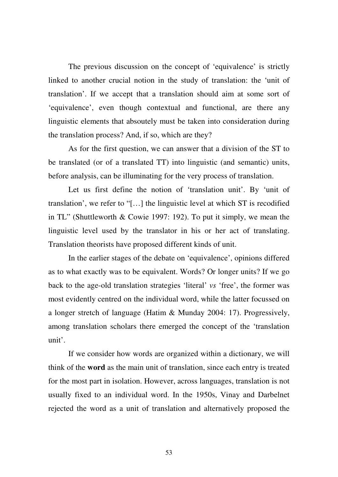The previous discussion on the concept of 'equivalence' is strictly linked to another crucial notion in the study of translation: the 'unit of translation'. If we accept that a translation should aim at some sort of 'equivalence', even though contextual and functional, are there any linguistic elements that absoutely must be taken into consideration during the translation process? And, if so, which are they?

As for the first question, we can answer that a division of the ST to be translated (or of a translated TT) into linguistic (and semantic) units, before analysis, can be illuminating for the very process of translation.

Let us first define the notion of 'translation unit'. By 'unit of translation', we refer to "[…] the linguistic level at which ST is recodified in TL" (Shuttleworth & Cowie 1997: 192). To put it simply, we mean the linguistic level used by the translator in his or her act of translating. Translation theorists have proposed different kinds of unit.

In the earlier stages of the debate on 'equivalence', opinions differed as to what exactly was to be equivalent. Words? Or longer units? If we go back to the age-old translation strategies 'literal' *vs* 'free', the former was most evidently centred on the individual word, while the latter focussed on a longer stretch of language (Hatim & Munday 2004: 17). Progressively, among translation scholars there emerged the concept of the 'translation unit'.

If we consider how words are organized within a dictionary, we will think of the **word** as the main unit of translation, since each entry is treated for the most part in isolation. However, across languages, translation is not usually fixed to an individual word. In the 1950s, Vinay and Darbelnet rejected the word as a unit of translation and alternatively proposed the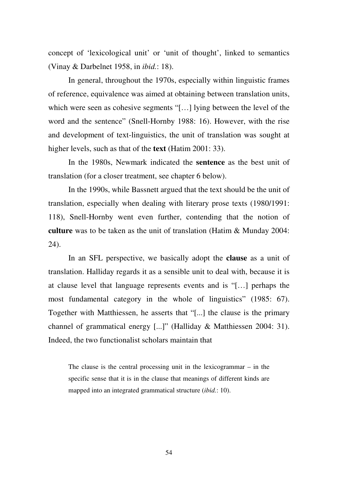concept of 'lexicological unit' or 'unit of thought', linked to semantics (Vinay & Darbelnet 1958, in *ibid.*: 18).

In general, throughout the 1970s, especially within linguistic frames of reference, equivalence was aimed at obtaining between translation units, which were seen as cohesive segments "[…] lying between the level of the word and the sentence" (Snell-Hornby 1988: 16). However, with the rise and development of text-linguistics, the unit of translation was sought at higher levels, such as that of the **text** (Hatim 2001: 33).

In the 1980s, Newmark indicated the **sentence** as the best unit of translation (for a closer treatment, see chapter 6 below).

In the 1990s, while Bassnett argued that the text should be the unit of translation, especially when dealing with literary prose texts (1980/1991: 118), Snell-Hornby went even further, contending that the notion of **culture** was to be taken as the unit of translation (Hatim & Munday 2004: 24).

In an SFL perspective, we basically adopt the **clause** as a unit of translation. Halliday regards it as a sensible unit to deal with, because it is at clause level that language represents events and is "[…] perhaps the most fundamental category in the whole of linguistics" (1985: 67). Together with Matthiessen, he asserts that "[...] the clause is the primary channel of grammatical energy [...]" (Halliday & Matthiessen 2004: 31). Indeed, the two functionalist scholars maintain that

The clause is the central processing unit in the lexicogrammar  $-$  in the specific sense that it is in the clause that meanings of different kinds are mapped into an integrated grammatical structure (*ibid.*: 10).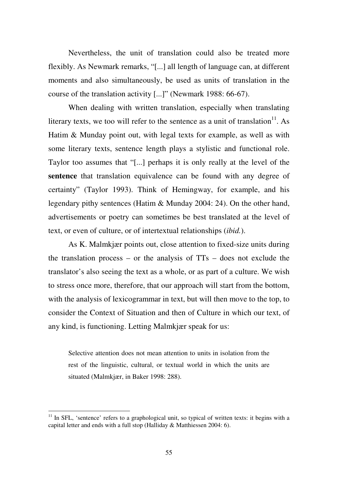Nevertheless, the unit of translation could also be treated more flexibly. As Newmark remarks, "[...] all length of language can, at different moments and also simultaneously, be used as units of translation in the course of the translation activity [...]" (Newmark 1988: 66-67).

When dealing with written translation, especially when translating literary texts, we too will refer to the sentence as a unit of translation  $11$ . As Hatim & Munday point out, with legal texts for example, as well as with some literary texts, sentence length plays a stylistic and functional role. Taylor too assumes that "[...] perhaps it is only really at the level of the **sentence** that translation equivalence can be found with any degree of certainty" (Taylor 1993). Think of Hemingway, for example, and his legendary pithy sentences (Hatim & Munday 2004: 24). On the other hand, advertisements or poetry can sometimes be best translated at the level of text, or even of culture, or of intertextual relationships (*ibid.*).

As K. Malmkjær points out, close attention to fixed-size units during the translation process – or the analysis of  $TTs$  – does not exclude the translator's also seeing the text as a whole, or as part of a culture. We wish to stress once more, therefore, that our approach will start from the bottom, with the analysis of lexicogrammar in text, but will then move to the top, to consider the Context of Situation and then of Culture in which our text, of any kind, is functioning. Letting Malmkjær speak for us:

Selective attention does not mean attention to units in isolation from the rest of the linguistic, cultural, or textual world in which the units are situated (Malmkjær, in Baker 1998: 288).

 $11$  In SFL, 'sentence' refers to a graphological unit, so typical of written texts: it begins with a capital letter and ends with a full stop (Halliday & Matthiessen 2004: 6).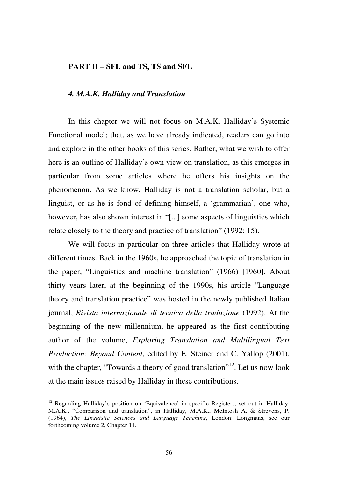#### **PART II – SFL and TS, TS and SFL**

#### *4. M.A.K. Halliday and Translation*

In this chapter we will not focus on M.A.K. Halliday's Systemic Functional model; that, as we have already indicated, readers can go into and explore in the other books of this series. Rather, what we wish to offer here is an outline of Halliday's own view on translation, as this emerges in particular from some articles where he offers his insights on the phenomenon. As we know, Halliday is not a translation scholar, but a linguist, or as he is fond of defining himself, a 'grammarian', one who, however, has also shown interest in "[...] some aspects of linguistics which relate closely to the theory and practice of translation" (1992: 15).

We will focus in particular on three articles that Halliday wrote at different times. Back in the 1960s, he approached the topic of translation in the paper, "Linguistics and machine translation" (1966) [1960]. About thirty years later, at the beginning of the 1990s, his article "Language theory and translation practice" was hosted in the newly published Italian journal, *Rivista internazionale di tecnica della traduzione* (1992). At the beginning of the new millennium, he appeared as the first contributing author of the volume, *Exploring Translation and Multilingual Text Production: Beyond Content*, edited by E. Steiner and C. Yallop (2001), with the chapter, "Towards a theory of good translation"<sup>12</sup>. Let us now look at the main issues raised by Halliday in these contributions.

<u>.</u>

<sup>&</sup>lt;sup>12</sup> Regarding Halliday's position on 'Equivalence' in specific Registers, set out in Halliday, M.A.K., "Comparison and translation", in Halliday, M.A.K., McIntosh A. & Strevens, P. (1964), *The Linguistic Sciences and Language Teaching*, London: Longmans, see our forthcoming volume 2, Chapter 11.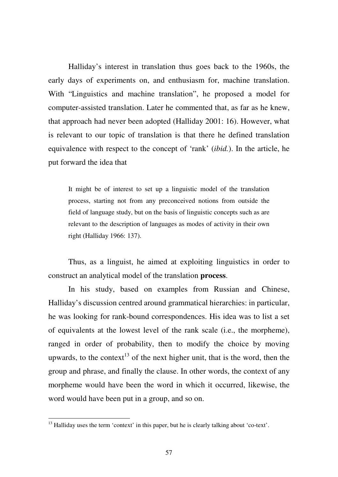Halliday's interest in translation thus goes back to the 1960s, the early days of experiments on, and enthusiasm for, machine translation. With "Linguistics and machine translation", he proposed a model for computer-assisted translation. Later he commented that, as far as he knew, that approach had never been adopted (Halliday 2001: 16). However, what is relevant to our topic of translation is that there he defined translation equivalence with respect to the concept of 'rank' (*ibid.*). In the article, he put forward the idea that

It might be of interest to set up a linguistic model of the translation process, starting not from any preconceived notions from outside the field of language study, but on the basis of linguistic concepts such as are relevant to the description of languages as modes of activity in their own right (Halliday 1966: 137).

Thus, as a linguist, he aimed at exploiting linguistics in order to construct an analytical model of the translation **process**.

In his study, based on examples from Russian and Chinese, Halliday's discussion centred around grammatical hierarchies: in particular, he was looking for rank-bound correspondences. His idea was to list a set of equivalents at the lowest level of the rank scale (i.e., the morpheme), ranged in order of probability, then to modify the choice by moving upwards, to the context<sup>13</sup> of the next higher unit, that is the word, then the group and phrase, and finally the clause. In other words, the context of any morpheme would have been the word in which it occurred, likewise, the word would have been put in a group, and so on.

 $<sup>13</sup>$  Halliday uses the term 'context' in this paper, but he is clearly talking about 'co-text'.</sup>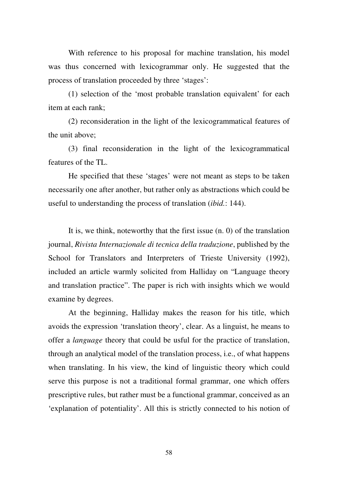With reference to his proposal for machine translation, his model was thus concerned with lexicogrammar only. He suggested that the process of translation proceeded by three 'stages':

(1) selection of the 'most probable translation equivalent' for each item at each rank;

(2) reconsideration in the light of the lexicogrammatical features of the unit above;

(3) final reconsideration in the light of the lexicogrammatical features of the TL.

He specified that these 'stages' were not meant as steps to be taken necessarily one after another, but rather only as abstractions which could be useful to understanding the process of translation (*ibid.*: 144).

It is, we think, noteworthy that the first issue (n. 0) of the translation journal, *Rivista Internazionale di tecnica della traduzione*, published by the School for Translators and Interpreters of Trieste University (1992), included an article warmly solicited from Halliday on "Language theory and translation practice". The paper is rich with insights which we would examine by degrees.

At the beginning, Halliday makes the reason for his title, which avoids the expression 'translation theory', clear. As a linguist, he means to offer a *language* theory that could be usful for the practice of translation, through an analytical model of the translation process, i.e., of what happens when translating. In his view, the kind of linguistic theory which could serve this purpose is not a traditional formal grammar, one which offers prescriptive rules, but rather must be a functional grammar, conceived as an 'explanation of potentiality'. All this is strictly connected to his notion of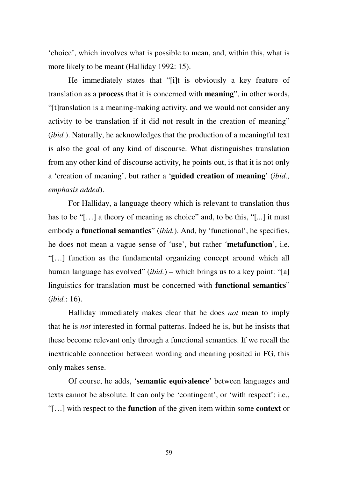'choice', which involves what is possible to mean, and, within this, what is more likely to be meant (Halliday 1992: 15).

He immediately states that "[i]t is obviously a key feature of translation as a **process** that it is concerned with **meaning**", in other words, "[t]ranslation is a meaning-making activity, and we would not consider any activity to be translation if it did not result in the creation of meaning" (*ibid.*). Naturally, he acknowledges that the production of a meaningful text is also the goal of any kind of discourse. What distinguishes translation from any other kind of discourse activity, he points out, is that it is not only a 'creation of meaning', but rather a '**guided creation of meaning**' (*ibid., emphasis added*).

For Halliday, a language theory which is relevant to translation thus has to be "[...] a theory of meaning as choice" and, to be this, "[...] it must embody a **functional semantics**" (*ibid.*). And, by 'functional', he specifies, he does not mean a vague sense of 'use', but rather '**metafunction**', i.e. "[…] function as the fundamental organizing concept around which all human language has evolved" (*ibid.*) – which brings us to a key point: "[a] linguistics for translation must be concerned with **functional semantics**" (*ibid.*: 16).

Halliday immediately makes clear that he does *not* mean to imply that he is *not* interested in formal patterns. Indeed he is, but he insists that these become relevant only through a functional semantics. If we recall the inextricable connection between wording and meaning posited in FG, this only makes sense.

Of course, he adds, '**semantic equivalence**' between languages and texts cannot be absolute. It can only be 'contingent', or 'with respect': i.e., "[…] with respect to the **function** of the given item within some **context** or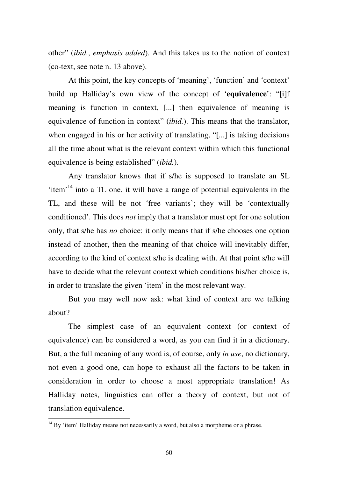other" (*ibid.*, *emphasis added*). And this takes us to the notion of context (co-text, see note n. 13 above).

At this point, the key concepts of 'meaning', 'function' and 'context' build up Halliday's own view of the concept of '**equivalence**': "[i]f meaning is function in context, [...] then equivalence of meaning is equivalence of function in context" (*ibid.*). This means that the translator, when engaged in his or her activity of translating, "[...] is taking decisions all the time about what is the relevant context within which this functional equivalence is being established" (*ibid.*).

Any translator knows that if s/he is supposed to translate an SL 'item'<sup>14</sup> into a TL one, it will have a range of potential equivalents in the TL, and these will be not 'free variants'; they will be 'contextually conditioned'. This does *not* imply that a translator must opt for one solution only, that s/he has *no* choice: it only means that if s/he chooses one option instead of another, then the meaning of that choice will inevitably differ, according to the kind of context s/he is dealing with. At that point s/he will have to decide what the relevant context which conditions his/her choice is, in order to translate the given 'item' in the most relevant way.

But you may well now ask: what kind of context are we talking about?

The simplest case of an equivalent context (or context of equivalence) can be considered a word, as you can find it in a dictionary. But, a the full meaning of any word is, of course, only *in use*, no dictionary, not even a good one, can hope to exhaust all the factors to be taken in consideration in order to choose a most appropriate translation! As Halliday notes, linguistics can offer a theory of context, but not of translation equivalence.

 $14$  By 'item' Halliday means not necessarily a word, but also a morpheme or a phrase.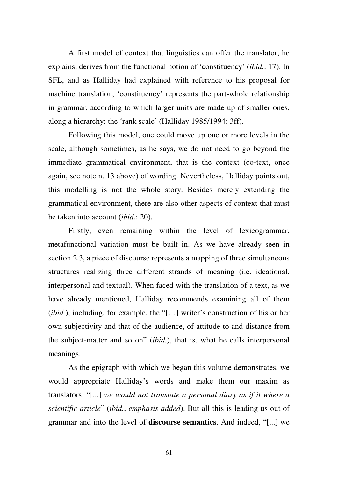A first model of context that linguistics can offer the translator, he explains, derives from the functional notion of 'constituency' (*ibid.*: 17). In SFL, and as Halliday had explained with reference to his proposal for machine translation, 'constituency' represents the part-whole relationship in grammar, according to which larger units are made up of smaller ones, along a hierarchy: the 'rank scale' (Halliday 1985/1994: 3ff).

Following this model, one could move up one or more levels in the scale, although sometimes, as he says, we do not need to go beyond the immediate grammatical environment, that is the context (co-text, once again, see note n. 13 above) of wording. Nevertheless, Halliday points out, this modelling is not the whole story. Besides merely extending the grammatical environment, there are also other aspects of context that must be taken into account (*ibid.*: 20).

Firstly, even remaining within the level of lexicogrammar, metafunctional variation must be built in. As we have already seen in section 2.3, a piece of discourse represents a mapping of three simultaneous structures realizing three different strands of meaning (i.e. ideational, interpersonal and textual). When faced with the translation of a text, as we have already mentioned, Halliday recommends examining all of them (*ibid.*), including, for example, the "[…] writer's construction of his or her own subjectivity and that of the audience, of attitude to and distance from the subject-matter and so on" (*ibid.*), that is, what he calls interpersonal meanings.

As the epigraph with which we began this volume demonstrates, we would appropriate Halliday's words and make them our maxim as translators: "[...] *we would not translate a personal diary as if it where a scientific article*" (*ibid.*, *emphasis added*). But all this is leading us out of grammar and into the level of **discourse semantics**. And indeed, "[...] we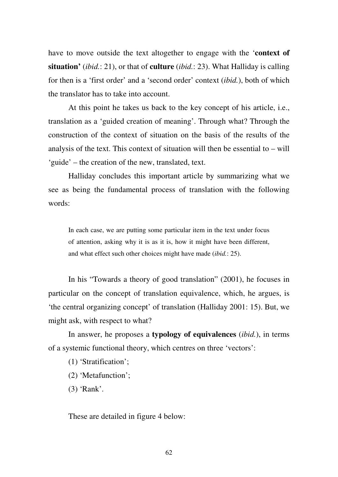have to move outside the text altogether to engage with the '**context of situation'** (*ibid.*: 21), or that of **culture** (*ibid.*: 23). What Halliday is calling for then is a 'first order' and a 'second order' context (*ibid.*), both of which the translator has to take into account.

At this point he takes us back to the key concept of his article, i.e., translation as a 'guided creation of meaning'. Through what? Through the construction of the context of situation on the basis of the results of the analysis of the text. This context of situation will then be essential to – will 'guide' – the creation of the new, translated, text.

Halliday concludes this important article by summarizing what we see as being the fundamental process of translation with the following words:

In each case, we are putting some particular item in the text under focus of attention, asking why it is as it is, how it might have been different, and what effect such other choices might have made (*ibid.*: 25).

In his "Towards a theory of good translation" (2001), he focuses in particular on the concept of translation equivalence, which, he argues, is 'the central organizing concept' of translation (Halliday 2001: 15). But, we might ask, with respect to what?

In answer, he proposes a **typology of equivalences** (*ibid.*), in terms of a systemic functional theory, which centres on three 'vectors':

(1) 'Stratification';

(2) 'Metafunction';

(3) 'Rank'.

These are detailed in figure 4 below: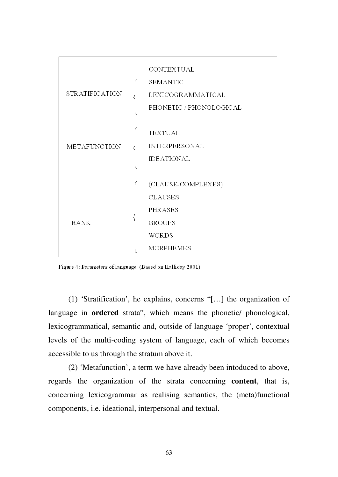

Figure 4: Parameters of language (Based on Halliday 2001)

(1) 'Stratification', he explains, concerns "[…] the organization of language in **ordered** strata", which means the phonetic/ phonological, lexicogrammatical, semantic and, outside of language 'proper', contextual levels of the multi-coding system of language, each of which becomes accessible to us through the stratum above it.

(2) 'Metafunction', a term we have already been intoduced to above, regards the organization of the strata concerning **content**, that is, concerning lexicogrammar as realising semantics, the (meta)functional components, i.e. ideational, interpersonal and textual.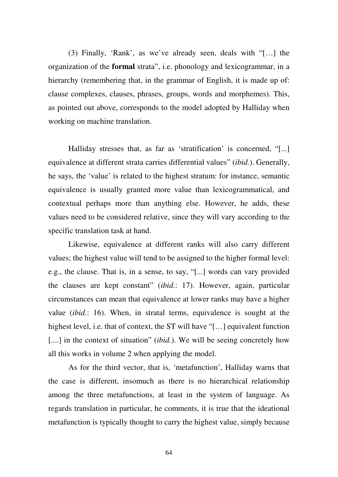(3) Finally, 'Rank', as we've already seen, deals with "[…] the organization of the **formal** strata", i.e. phonology and lexicogrammar, in a hierarchy (remembering that, in the grammar of English, it is made up of: clause complexes, clauses, phrases, groups, words and morphemes). This, as pointed out above, corresponds to the model adopted by Halliday when working on machine translation.

Halliday stresses that, as far as 'stratification' is concerned, "[...] equivalence at different strata carries differential values" (*ibid.*). Generally, he says, the 'value' is related to the highest stratum: for instance, semantic equivalence is usually granted more value than lexicogrammatical, and contextual perhaps more than anything else. However, he adds, these values need to be considered relative, since they will vary according to the specific translation task at hand.

Likewise, equivalence at different ranks will also carry different values; the highest value will tend to be assigned to the higher formal level: e.g., the clause. That is, in a sense, to say, "[...] words can vary provided the clauses are kept constant" (*ibid.*: 17). However, again, particular circumstances can mean that equivalence at lower ranks may have a higher value (*ibid.*: 16). When, in stratal terms, equivalence is sought at the highest level, i.e. that of context, the ST will have "[...] equivalent function [....] in the context of situation" *(ibid.)*. We will be seeing concretely how all this works in volume 2 when applying the model.

As for the third vector, that is, 'metafunction', Halliday warns that the case is different, insomuch as there is no hierarchical relationship among the three metafunctions, at least in the system of language. As regards translation in particular, he comments, it is true that the ideational metafunction is typically thought to carry the highest value, simply because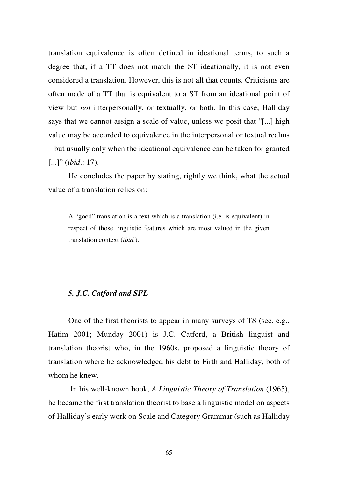translation equivalence is often defined in ideational terms, to such a degree that, if a TT does not match the ST ideationally, it is not even considered a translation. However, this is not all that counts. Criticisms are often made of a TT that is equivalent to a ST from an ideational point of view but *not* interpersonally, or textually, or both. In this case, Halliday says that we cannot assign a scale of value, unless we posit that "[...] high value may be accorded to equivalence in the interpersonal or textual realms – but usually only when the ideational equivalence can be taken for granted [...]" (*ibid*.: 17).

He concludes the paper by stating, rightly we think, what the actual value of a translation relies on:

A "good" translation is a text which is a translation (i.e. is equivalent) in respect of those linguistic features which are most valued in the given translation context (*ibid.*).

## *5. J.C. Catford and SFL*

One of the first theorists to appear in many surveys of TS (see, e.g., Hatim 2001; Munday 2001) is J.C. Catford, a British linguist and translation theorist who, in the 1960s, proposed a linguistic theory of translation where he acknowledged his debt to Firth and Halliday, both of whom he knew.

 In his well-known book, *A Linguistic Theory of Translation* (1965), he became the first translation theorist to base a linguistic model on aspects of Halliday's early work on Scale and Category Grammar (such as Halliday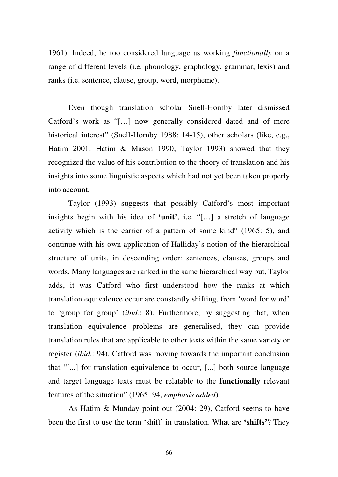1961). Indeed, he too considered language as working *functionally* on a range of different levels (i.e. phonology, graphology, grammar, lexis) and ranks (i.e. sentence, clause, group, word, morpheme).

Even though translation scholar Snell-Hornby later dismissed Catford's work as "[…] now generally considered dated and of mere historical interest" (Snell-Hornby 1988: 14-15), other scholars (like, e.g., Hatim 2001; Hatim & Mason 1990; Taylor 1993) showed that they recognized the value of his contribution to the theory of translation and his insights into some linguistic aspects which had not yet been taken properly into account.

Taylor (1993) suggests that possibly Catford's most important insights begin with his idea of **'unit'**, i.e. "[…] a stretch of language activity which is the carrier of a pattern of some kind" (1965: 5), and continue with his own application of Halliday's notion of the hierarchical structure of units, in descending order: sentences, clauses, groups and words. Many languages are ranked in the same hierarchical way but, Taylor adds, it was Catford who first understood how the ranks at which translation equivalence occur are constantly shifting, from 'word for word' to 'group for group' (*ibid.*: 8). Furthermore, by suggesting that, when translation equivalence problems are generalised, they can provide translation rules that are applicable to other texts within the same variety or register (*ibid.*: 94), Catford was moving towards the important conclusion that "[...] for translation equivalence to occur, [...] both source language and target language texts must be relatable to the **functionally** relevant features of the situation" (1965: 94, *emphasis added*).

As Hatim & Munday point out (2004: 29), Catford seems to have been the first to use the term 'shift' in translation. What are **'shifts'**? They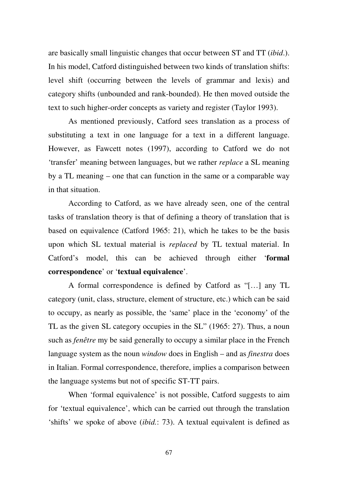are basically small linguistic changes that occur between ST and TT (*ibid*.). In his model, Catford distinguished between two kinds of translation shifts: level shift (occurring between the levels of grammar and lexis) and category shifts (unbounded and rank-bounded). He then moved outside the text to such higher-order concepts as variety and register (Taylor 1993).

As mentioned previously, Catford sees translation as a process of substituting a text in one language for a text in a different language. However, as Fawcett notes (1997), according to Catford we do not 'transfer' meaning between languages, but we rather *replace* a SL meaning by a TL meaning – one that can function in the same or a comparable way in that situation.

According to Catford, as we have already seen, one of the central tasks of translation theory is that of defining a theory of translation that is based on equivalence (Catford 1965: 21), which he takes to be the basis upon which SL textual material is *replaced* by TL textual material. In Catford's model, this can be achieved through either '**formal correspondence**' or '**textual equivalence**'.

A formal correspondence is defined by Catford as "[…] any TL category (unit, class, structure, element of structure, etc.) which can be said to occupy, as nearly as possible, the 'same' place in the 'economy' of the TL as the given SL category occupies in the SL" (1965: 27). Thus, a noun such as *fenêtre* my be said generally to occupy a similar place in the French language system as the noun *window* does in English – and as *finestra* does in Italian. Formal correspondence, therefore, implies a comparison between the language systems but not of specific ST-TT pairs.

When 'formal equivalence' is not possible, Catford suggests to aim for 'textual equivalence', which can be carried out through the translation 'shifts' we spoke of above (*ibid.*: 73). A textual equivalent is defined as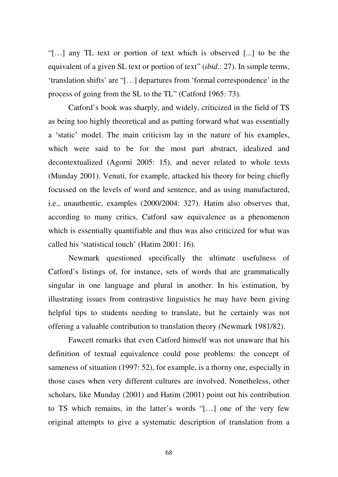"[…] any TL text or portion of text which is observed [...] to be the equivalent of a given SL text or portion of text" (*ibid.*: 27). In simple terms, 'translation shifts' are "[…] departures from 'formal correspondence' in the process of going from the SL to the TL" (Catford 1965: 73).

Catford's book was sharply, and widely, criticized in the field of TS as being too highly theoretical and as putting forward what was essentially a 'static' model. The main criticism lay in the nature of his examples, which were said to be for the most part abstract, idealized and decontextualized (Agorni 2005: 15), and never related to whole texts (Munday 2001). Venuti, for example, attacked his theory for being chiefly focussed on the levels of word and sentence, and as using manufactured, i.e., unauthentic, examples (2000/2004: 327). Hatim also observes that, according to many critics, Catford saw equivalence as a phenomenon which is essentially quantifiable and thus was also criticized for what was called his 'statistical touch' (Hatim 2001: 16).

Newmark questioned specifically the ultimate usefulness of Catford's listings of, for instance, sets of words that are grammatically singular in one language and plural in another. In his estimation, by illustrating issues from contrastive linguistics he may have been giving helpful tips to students needing to translate, but he certainly was not offering a valuable contribution to translation theory (Newmark 1981/82).

Fawcett remarks that even Catford himself was not unaware that his definition of textual equivalence could pose problems: the concept of sameness of situation (1997: 52), for example, is a thorny one, especially in those cases when very different cultures are involved. Nonetheless, other scholars, like Munday (2001) and Hatim (2001) point out his contribution to TS which remains, in the latter's words "[…] one of the very few original attempts to give a systematic description of translation from a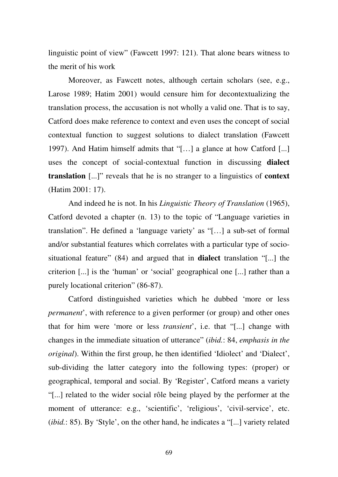linguistic point of view" (Fawcett 1997: 121). That alone bears witness to the merit of his work

Moreover, as Fawcett notes, although certain scholars (see, e.g., Larose 1989; Hatim 2001) would censure him for decontextualizing the translation process, the accusation is not wholly a valid one. That is to say, Catford does make reference to context and even uses the concept of social contextual function to suggest solutions to dialect translation (Fawcett 1997). And Hatim himself admits that "[…] a glance at how Catford [...] uses the concept of social-contextual function in discussing **dialect translation** [...]" reveals that he is no stranger to a linguistics of **context**  (Hatim 2001: 17).

And indeed he is not. In his *Linguistic Theory of Translation* (1965), Catford devoted a chapter (n. 13) to the topic of "Language varieties in translation". He defined a 'language variety' as "[…] a sub-set of formal and/or substantial features which correlates with a particular type of sociosituational feature" (84) and argued that in **dialect** translation "[...] the criterion [...] is the 'human' or 'social' geographical one [...] rather than a purely locational criterion" (86-87).

Catford distinguished varieties which he dubbed 'more or less *permanent*', with reference to a given performer (or group) and other ones that for him were 'more or less *transient*', i.e. that "[...] change with changes in the immediate situation of utterance" (*ibid.*: 84, *emphasis in the original*). Within the first group, he then identified 'Idiolect' and 'Dialect', sub-dividing the latter category into the following types: (proper) or geographical, temporal and social. By 'Register', Catford means a variety "[...] related to the wider social rôle being played by the performer at the moment of utterance: e.g., 'scientific', 'religious', 'civil-service', etc. (*ibid.*: 85). By 'Style', on the other hand, he indicates a "[...] variety related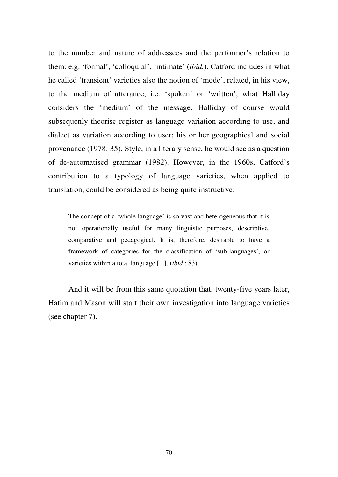to the number and nature of addressees and the performer's relation to them: e.g. 'formal', 'colloquial', 'intimate' (*ibid.*). Catford includes in what he called 'transient' varieties also the notion of 'mode', related, in his view, to the medium of utterance, i.e. 'spoken' or 'written', what Halliday considers the 'medium' of the message. Halliday of course would subsequenly theorise register as language variation according to use, and dialect as variation according to user: his or her geographical and social provenance (1978: 35). Style, in a literary sense, he would see as a question of de-automatised grammar (1982). However, in the 1960s, Catford's contribution to a typology of language varieties, when applied to translation, could be considered as being quite instructive:

The concept of a 'whole language' is so vast and heterogeneous that it is not operationally useful for many linguistic purposes, descriptive, comparative and pedagogical. It is, therefore, desirable to have a framework of categories for the classification of 'sub-languages', or varieties within a total language [...]. (*ibid.*: 83).

And it will be from this same quotation that, twenty-five years later, Hatim and Mason will start their own investigation into language varieties (see chapter 7).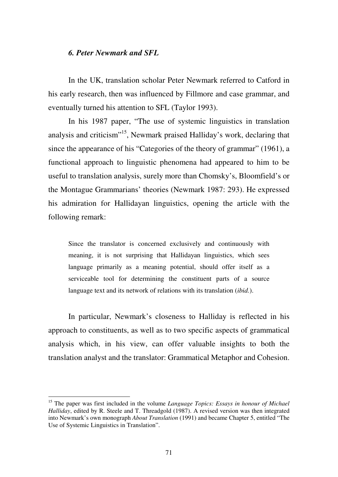### *6. Peter Newmark and SFL*

In the UK, translation scholar Peter Newmark referred to Catford in his early research, then was influenced by Fillmore and case grammar, and eventually turned his attention to SFL (Taylor 1993).

In his 1987 paper, "The use of systemic linguistics in translation analysis and criticism"<sup>15</sup>, Newmark praised Halliday's work, declaring that since the appearance of his "Categories of the theory of grammar" (1961), a functional approach to linguistic phenomena had appeared to him to be useful to translation analysis, surely more than Chomsky's, Bloomfield's or the Montague Grammarians' theories (Newmark 1987: 293). He expressed his admiration for Hallidayan linguistics, opening the article with the following remark:

Since the translator is concerned exclusively and continuously with meaning, it is not surprising that Hallidayan linguistics, which sees language primarily as a meaning potential, should offer itself as a serviceable tool for determining the constituent parts of a source language text and its network of relations with its translation (*ibid.*).

In particular, Newmark's closeness to Halliday is reflected in his approach to constituents, as well as to two specific aspects of grammatical analysis which, in his view, can offer valuable insights to both the translation analyst and the translator: Grammatical Metaphor and Cohesion.

<u>.</u>

<sup>15</sup> The paper was first included in the volume *Language Topics: Essays in honour of Michael Halliday*, edited by R. Steele and T. Threadgold (1987). A revised version was then integrated into Newmark's own monograph *About Translation* (1991) and became Chapter 5, entitled "The Use of Systemic Linguistics in Translation".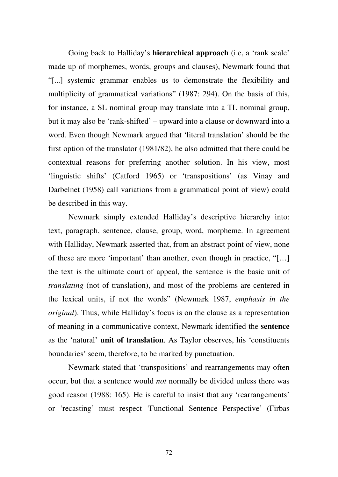Going back to Halliday's **hierarchical approach** (i.e, a 'rank scale' made up of morphemes, words, groups and clauses), Newmark found that "[...] systemic grammar enables us to demonstrate the flexibility and multiplicity of grammatical variations" (1987: 294). On the basis of this, for instance, a SL nominal group may translate into a TL nominal group, but it may also be 'rank-shifted' – upward into a clause or downward into a word. Even though Newmark argued that 'literal translation' should be the first option of the translator (1981/82), he also admitted that there could be contextual reasons for preferring another solution. In his view, most 'linguistic shifts' (Catford 1965) or 'transpositions' (as Vinay and Darbelnet (1958) call variations from a grammatical point of view) could be described in this way.

Newmark simply extended Halliday's descriptive hierarchy into: text, paragraph, sentence, clause, group, word, morpheme. In agreement with Halliday, Newmark asserted that, from an abstract point of view, none of these are more 'important' than another, even though in practice, "[…] the text is the ultimate court of appeal, the sentence is the basic unit of *translating* (not of translation), and most of the problems are centered in the lexical units, if not the words" (Newmark 1987, *emphasis in the original*). Thus, while Halliday's focus is on the clause as a representation of meaning in a communicative context, Newmark identified the **sentence** as the 'natural' **unit of translation**. As Taylor observes, his 'constituents boundaries' seem, therefore, to be marked by punctuation.

Newmark stated that 'transpositions' and rearrangements may often occur, but that a sentence would *not* normally be divided unless there was good reason (1988: 165). He is careful to insist that any 'rearrangements' or 'recasting' must respect 'Functional Sentence Perspective' (Firbas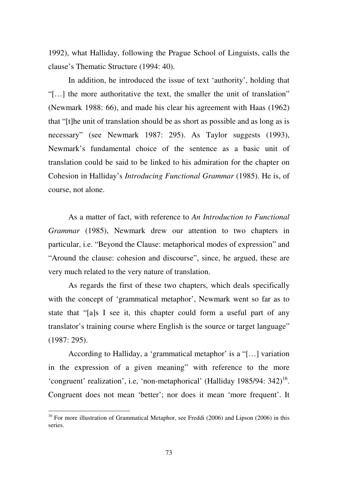1992), what Halliday, following the Prague School of Linguists, calls the clause's Thematic Structure (1994: 40).

In addition, he introduced the issue of text 'authority', holding that "[…] the more authoritative the text, the smaller the unit of translation" (Newmark 1988: 66), and made his clear his agreement with Haas (1962) that "[t]he unit of translation should be as short as possible and as long as is necessary" (see Newmark 1987: 295). As Taylor suggests (1993), Newmark's fundamental choice of the sentence as a basic unit of translation could be said to be linked to his admiration for the chapter on Cohesion in Halliday's *Introducing Functional Grammar* (1985). He is, of course, not alone.

As a matter of fact, with reference to *An Introduction to Functional Grammar* (1985), Newmark drew our attention to two chapters in particular, i.e. "Beyond the Clause: metaphorical modes of expression" and "Around the clause: cohesion and discourse", since, he argued, these are very much related to the very nature of translation.

As regards the first of these two chapters, which deals specifically with the concept of 'grammatical metaphor', Newmark went so far as to state that "[a]s I see it, this chapter could form a useful part of any translator's training course where English is the source or target language" (1987: 295).

According to Halliday, a 'grammatical metaphor' is a "[…] variation in the expression of a given meaning" with reference to the more 'congruent' realization', i.e, 'non-metaphorical' (Halliday 1985/94: 342)<sup>16</sup>. Congruent does not mean 'better'; nor does it mean 'more frequent'. It

<sup>&</sup>lt;sup>16</sup> For more illustration of Grammatical Metaphor, see Freddi (2006) and Lipson (2006) in this series.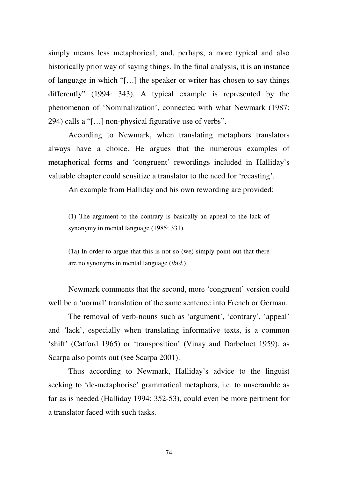simply means less metaphorical, and, perhaps, a more typical and also historically prior way of saying things. In the final analysis, it is an instance of language in which "[…] the speaker or writer has chosen to say things differently" (1994: 343). A typical example is represented by the phenomenon of 'Nominalization', connected with what Newmark (1987: 294) calls a "[…] non-physical figurative use of verbs".

According to Newmark, when translating metaphors translators always have a choice. He argues that the numerous examples of metaphorical forms and 'congruent' rewordings included in Halliday's valuable chapter could sensitize a translator to the need for 'recasting'.

An example from Halliday and his own rewording are provided:

(1) The argument to the contrary is basically an appeal to the lack of synonymy in mental language (1985: 331).

(1a) In order to argue that this is not so (we) simply point out that there are no synonyms in mental language (*ibid.*)

Newmark comments that the second, more 'congruent' version could well be a 'normal' translation of the same sentence into French or German.

The removal of verb-nouns such as 'argument', 'contrary', 'appeal' and 'lack', especially when translating informative texts, is a common 'shift' (Catford 1965) or 'transposition' (Vinay and Darbelnet 1959), as Scarpa also points out (see Scarpa 2001).

Thus according to Newmark, Halliday's advice to the linguist seeking to 'de-metaphorise' grammatical metaphors, i.e. to unscramble as far as is needed (Halliday 1994: 352-53), could even be more pertinent for a translator faced with such tasks.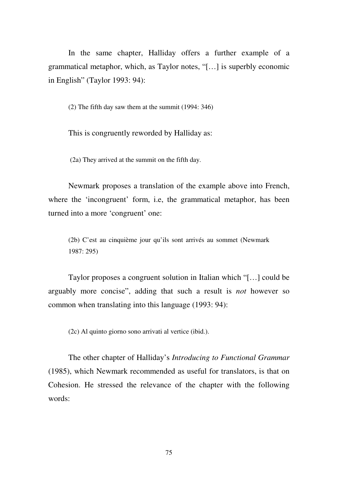In the same chapter, Halliday offers a further example of a grammatical metaphor, which, as Taylor notes, "[…] is superbly economic in English" (Taylor 1993: 94):

(2) The fifth day saw them at the summit (1994: 346)

This is congruently reworded by Halliday as:

(2a) They arrived at the summit on the fifth day.

Newmark proposes a translation of the example above into French, where the 'incongruent' form, i.e, the grammatical metaphor, has been turned into a more 'congruent' one:

(2b) C'est au cinquième jour qu'ils sont arrivés au sommet (Newmark 1987: 295)

Taylor proposes a congruent solution in Italian which "[…] could be arguably more concise", adding that such a result is *not* however so common when translating into this language (1993: 94):

(2c) Al quinto giorno sono arrivati al vertice (ibid.).

The other chapter of Halliday's *Introducing to Functional Grammar* (1985), which Newmark recommended as useful for translators, is that on Cohesion. He stressed the relevance of the chapter with the following words: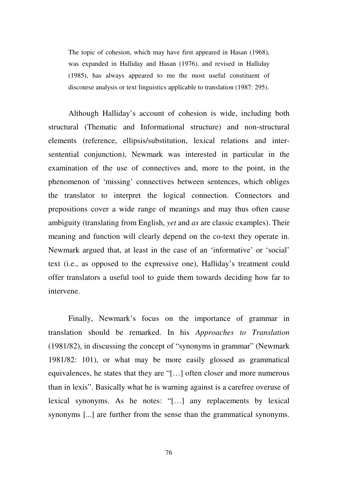The topic of cohesion, which may have first appeared in Hasan (1968), was expanded in Halliday and Hasan (1976), and revised in Halliday (1985), has always appeared to me the most useful constituent of discourse analysis or text linguistics applicable to translation (1987: 295).

Although Halliday's account of cohesion is wide, including both structural (Thematic and Informational structure) and non-structural elements (reference, ellipsis/substitution, lexical relations and intersentential conjunction), Newmark was interested in particular in the examination of the use of connectives and, more to the point, in the phenomenon of 'missing' connectives between sentences, which obliges the translator to interpret the logical connection. Connectors and prepositions cover a wide range of meanings and may thus often cause ambiguity (translating from English, *yet* and *as* are classic examples). Their meaning and function will clearly depend on the co-text they operate in. Newmark argued that, at least in the case of an 'informative' or 'social' text (i.e., as opposed to the expressive one), Halliday's treatment could offer translators a useful tool to guide them towards deciding how far to intervene.

Finally, Newmark's focus on the importance of grammar in translation should be remarked. In his *Approaches to Translation* (1981/82), in discussing the concept of "synonyms in grammar" (Newmark 1981/82: 101), or what may be more easily glossed as grammatical equivalences, he states that they are "[…] often closer and more numerous than in lexis". Basically what he is warning against is a carefree overuse of lexical synonyms. As he notes: "[…] any replacements by lexical synonyms [...] are further from the sense than the grammatical synonyms.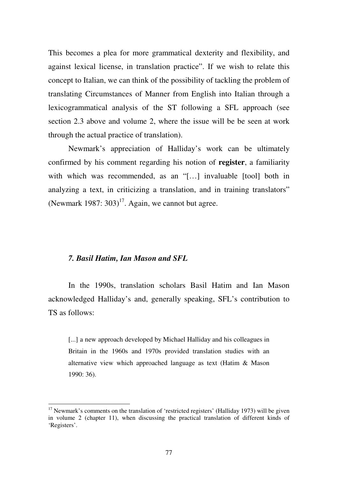This becomes a plea for more grammatical dexterity and flexibility, and against lexical license, in translation practice". If we wish to relate this concept to Italian, we can think of the possibility of tackling the problem of translating Circumstances of Manner from English into Italian through a lexicogrammatical analysis of the ST following a SFL approach (see section 2.3 above and volume 2, where the issue will be be seen at work through the actual practice of translation).

Newmark's appreciation of Halliday's work can be ultimately confirmed by his comment regarding his notion of **register**, a familiarity with which was recommended, as an "[...] invaluable [tool] both in analyzing a text, in criticizing a translation, and in training translators" (Newmark 1987:  $303$ )<sup>17</sup>. Again, we cannot but agree.

## *7. Basil Hatim, Ian Mason and SFL*

<u>.</u>

In the 1990s, translation scholars Basil Hatim and Ian Mason acknowledged Halliday's and, generally speaking, SFL's contribution to TS as follows:

[...] a new approach developed by Michael Halliday and his colleagues in Britain in the 1960s and 1970s provided translation studies with an alternative view which approached language as text (Hatim & Mason 1990: 36).

<sup>&</sup>lt;sup>17</sup> Newmark's comments on the translation of 'restricted registers' (Halliday 1973) will be given in volume 2 (chapter 11), when discussing the practical translation of different kinds of 'Registers'.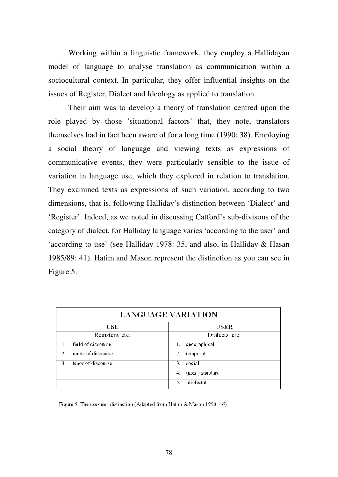Working within a linguistic framework, they employ a Hallidayan model of language to analyse translation as communication within a sociocultural context. In particular, they offer influential insights on the issues of Register, Dialect and Ideology as applied to translation.

Their aim was to develop a theory of translation centred upon the role played by those 'situational factors' that, they note, translators themselves had in fact been aware of for a long time (1990: 38). Employing a social theory of language and viewing texts as expressions of communicative events, they were particularly sensible to the issue of variation in language use, which they explored in relation to translation. They examined texts as expressions of such variation, according to two dimensions, that is, following Halliday's distinction between 'Dialect' and 'Register'. Indeed, as we noted in discussing Catford's sub-divisons of the category of dialect, for Halliday language varies 'according to the user' and 'according to use' (see Halliday 1978: 35, and also, in Halliday & Hasan 1985/89: 41). Hatim and Mason represent the distinction as you can see in Figure 5.

| <b>LANGUAGE VARIATION</b>           |                       |
|-------------------------------------|-----------------------|
| USE                                 | USER                  |
| Registers, etc.                     | Dialects, etc.        |
| field of discourse                  | geographical<br>$1$ . |
| mode of discourse<br>$\overline{2}$ | temporal<br>2.        |
| tenor of discourse<br>3.            | social<br>3.          |
|                                     | (non-) standard<br>4. |
|                                     | idiolectal<br>5.      |

Figure 5: The use-user distinction (Adapted from Hatim & Mason 1990: 46)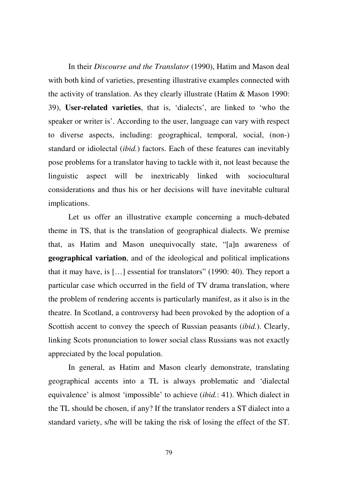In their *Discourse and the Translator* (1990), Hatim and Mason deal with both kind of varieties, presenting illustrative examples connected with the activity of translation. As they clearly illustrate (Hatim & Mason 1990: 39), **User-related varieties**, that is, 'dialects', are linked to 'who the speaker or writer is'. According to the user, language can vary with respect to diverse aspects, including: geographical, temporal, social, (non-) standard or idiolectal (*ibid.*) factors. Each of these features can inevitably pose problems for a translator having to tackle with it, not least because the linguistic aspect will be inextricably linked with sociocultural considerations and thus his or her decisions will have inevitable cultural implications.

Let us offer an illustrative example concerning a much-debated theme in TS, that is the translation of geographical dialects. We premise that, as Hatim and Mason unequivocally state, "[a]n awareness of **geographical variation**, and of the ideological and political implications that it may have, is […] essential for translators" (1990: 40). They report a particular case which occurred in the field of TV drama translation, where the problem of rendering accents is particularly manifest, as it also is in the theatre. In Scotland, a controversy had been provoked by the adoption of a Scottish accent to convey the speech of Russian peasants (*ibid.*). Clearly, linking Scots pronunciation to lower social class Russians was not exactly appreciated by the local population.

In general, as Hatim and Mason clearly demonstrate, translating geographical accents into a TL is always problematic and 'dialectal equivalence' is almost 'impossible' to achieve (*ibid.*: 41). Which dialect in the TL should be chosen, if any? If the translator renders a ST dialect into a standard variety, s/he will be taking the risk of losing the effect of the ST.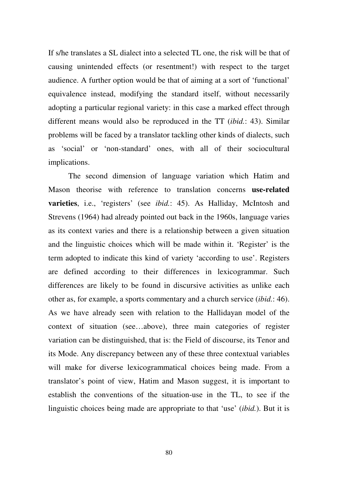If s/he translates a SL dialect into a selected TL one, the risk will be that of causing unintended effects (or resentment!) with respect to the target audience. A further option would be that of aiming at a sort of 'functional' equivalence instead, modifying the standard itself, without necessarily adopting a particular regional variety: in this case a marked effect through different means would also be reproduced in the TT (*ibid.*: 43). Similar problems will be faced by a translator tackling other kinds of dialects, such as 'social' or 'non-standard' ones, with all of their sociocultural implications.

The second dimension of language variation which Hatim and Mason theorise with reference to translation concerns **use-related varieties**, i.e., 'registers' (see *ibid.*: 45). As Halliday, McIntosh and Strevens (1964) had already pointed out back in the 1960s, language varies as its context varies and there is a relationship between a given situation and the linguistic choices which will be made within it. 'Register' is the term adopted to indicate this kind of variety 'according to use'. Registers are defined according to their differences in lexicogrammar. Such differences are likely to be found in discursive activities as unlike each other as, for example, a sports commentary and a church service (*ibid.*: 46). As we have already seen with relation to the Hallidayan model of the context of situation (see…above), three main categories of register variation can be distinguished, that is: the Field of discourse, its Tenor and its Mode. Any discrepancy between any of these three contextual variables will make for diverse lexicogrammatical choices being made. From a translator's point of view, Hatim and Mason suggest, it is important to establish the conventions of the situation-use in the TL, to see if the linguistic choices being made are appropriate to that 'use' (*ibid.*). But it is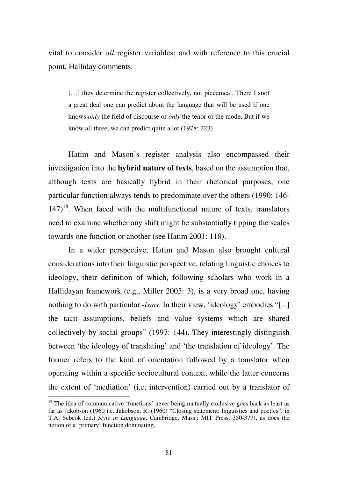vital to consider *all* register variables; and with reference to this crucial point, Halliday comments:

[...] they determine the register collectively, not piecemeal. There I snot a great deal one can predict about the language that will be used if one knows *only* the field of discourse or *only* the tenor or the mode. But if we know all three, we can predict quite a lot (1978: 223)

Hatim and Mason's register analysis also encompassed their investigation into the **hybrid nature of texts**, based on the assumption that, although texts are basically hybrid in their rhetorical purposes, one particular function always tends to predominate over the others (1990: 146-  $147$ <sup>18</sup>. When faced with the multifunctional nature of texts, translators need to examine whether any shift might be substantially tipping the scales towards one function or another (see Hatim 2001: 118).

In a wider perspective, Hatim and Mason also brought cultural considerations into their linguistic perspective, relating linguistic choices to ideology, their definition of which, following scholars who work in a Hallidayan framework (e.g., Miller 2005: 3), is a very broad one, having nothing to do with particular -*isms*. In their view, 'ideology' embodies "[...] the tacit assumptions, beliefs and value systems which are shared collectively by social groups" (1997: 144). They interestingly distinguish between 'the ideology of translating' and 'the translation of ideology'. The former refers to the kind of orientation followed by a translator when operating within a specific sociocultural context, while the latter concerns the extent of 'mediation' (i.e, intervention) carried out by a translator of

<u>.</u>

 $18$  The idea of communicative 'functions' never being mutually exclusive goes back as least as far as Jakobson (1960 i.e. Jakobson, R. (1960) "Closing statement: linguistics and poetics", in T.A. Sebeok (ed.) *Style in Language*, Cambridge, Mass.: MIT Press, 350-377), as does the notion of a 'primary' function dominating.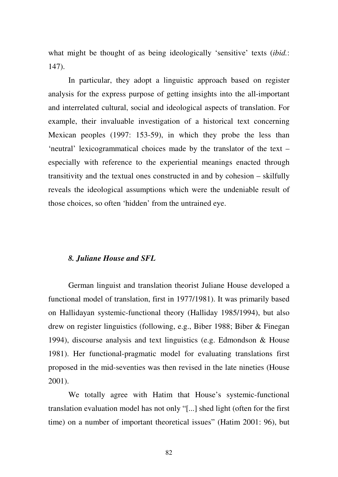what might be thought of as being ideologically 'sensitive' texts (*ibid.*: 147).

In particular, they adopt a linguistic approach based on register analysis for the express purpose of getting insights into the all-important and interrelated cultural, social and ideological aspects of translation. For example, their invaluable investigation of a historical text concerning Mexican peoples (1997: 153-59), in which they probe the less than 'neutral' lexicogrammatical choices made by the translator of the text – especially with reference to the experiential meanings enacted through transitivity and the textual ones constructed in and by cohesion – skilfully reveals the ideological assumptions which were the undeniable result of those choices, so often 'hidden' from the untrained eye.

## *8. Juliane House and SFL*

German linguist and translation theorist Juliane House developed a functional model of translation, first in 1977/1981). It was primarily based on Hallidayan systemic-functional theory (Halliday 1985/1994), but also drew on register linguistics (following, e.g., Biber 1988; Biber & Finegan 1994), discourse analysis and text linguistics (e.g. Edmondson & House 1981). Her functional-pragmatic model for evaluating translations first proposed in the mid-seventies was then revised in the late nineties (House 2001).

We totally agree with Hatim that House's systemic-functional translation evaluation model has not only "[...] shed light (often for the first time) on a number of important theoretical issues" (Hatim 2001: 96), but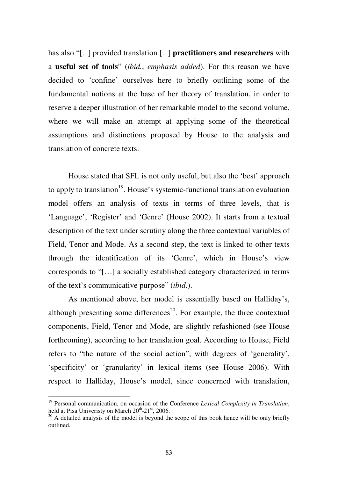has also "[...] provided translation [...] **practitioners and researchers** with a **useful set of tools**" (*ibid.*, *emphasis added*). For this reason we have decided to 'confine' ourselves here to briefly outlining some of the fundamental notions at the base of her theory of translation, in order to reserve a deeper illustration of her remarkable model to the second volume, where we will make an attempt at applying some of the theoretical assumptions and distinctions proposed by House to the analysis and translation of concrete texts.

House stated that SFL is not only useful, but also the 'best' approach to apply to translation<sup>19</sup>. House's systemic-functional translation evaluation model offers an analysis of texts in terms of three levels, that is 'Language', 'Register' and 'Genre' (House 2002). It starts from a textual description of the text under scrutiny along the three contextual variables of Field, Tenor and Mode. As a second step, the text is linked to other texts through the identification of its 'Genre', which in House's view corresponds to "[…] a socially established category characterized in terms of the text's communicative purpose" (*ibid*.).

As mentioned above, her model is essentially based on Halliday's, although presenting some differences<sup>20</sup>. For example, the three contextual components, Field, Tenor and Mode, are slightly refashioned (see House forthcoming), according to her translation goal. According to House, Field refers to "the nature of the social action", with degrees of 'generality', 'specificity' or 'granularity' in lexical items (see House 2006). With respect to Halliday, House's model, since concerned with translation,

<u>.</u>

<sup>19</sup> Personal communication, on occasion of the Conference *Lexical Complexity in Translation*, held at Pisa Univeristy on March  $20^{th}$ -21st, 2006.

 $20$  A detailed analysis of the model is beyond the scope of this book hence will be only briefly outlined.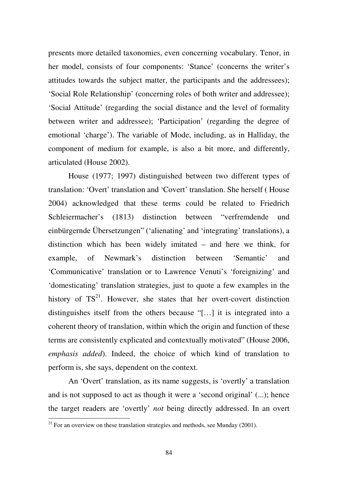presents more detailed taxonomies, even concerning vocabulary. Tenor, in her model, consists of four components: 'Stance' (concerns the writer's attitudes towards the subject matter, the participants and the addressees); 'Social Role Relationship' (concerning roles of both writer and addressee); 'Social Attitude' (regarding the social distance and the level of formality between writer and addressee); 'Participation' (regarding the degree of emotional 'charge'). The variable of Mode, including, as in Halliday, the component of medium for example, is also a bit more, and differently, articulated (House 2002).

House (1977; 1997) distinguished between two different types of translation: 'Overt' translation and 'Covert' translation. She herself ( House 2004) acknowledged that these terms could be related to Friedrich Schleiermacher's (1813) distinction between "verfremdende und einbürgernde Übersetzungen" ('alienating' and 'integrating' translations), a distinction which has been widely imitated – and here we think, for example, of Newmark's distinction between 'Semantic' and 'Communicative' translation or to Lawrence Venuti's 'foreignizing' and 'domesticating' translation strategies, just to quote a few examples in the history of  $TS<sup>21</sup>$ . However, she states that her overt-covert distinction distinguishes itself from the others because "[…] it is integrated into a coherent theory of translation, within which the origin and function of these terms are consistently explicated and contextually motivated" (House 2006, *emphasis added*). Indeed, the choice of which kind of translation to perform is, she says, dependent on the context.

An 'Overt' translation, as its name suggests, is 'overtly' a translation and is not supposed to act as though it were a 'second original' (...); hence the target readers are 'overtly' *not* being directly addressed. In an overt

<sup>&</sup>lt;sup>21</sup> For an overview on these translation strategies and methods, see Munday (2001).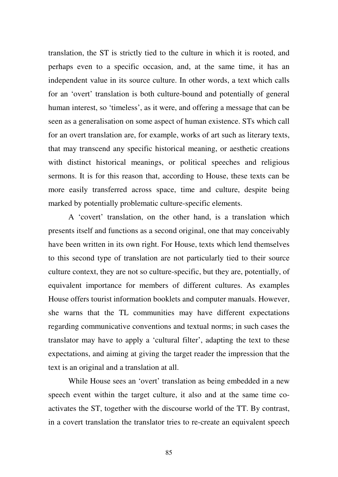translation, the ST is strictly tied to the culture in which it is rooted, and perhaps even to a specific occasion, and, at the same time, it has an independent value in its source culture. In other words, a text which calls for an 'overt' translation is both culture-bound and potentially of general human interest, so 'timeless', as it were, and offering a message that can be seen as a generalisation on some aspect of human existence. STs which call for an overt translation are, for example, works of art such as literary texts, that may transcend any specific historical meaning, or aesthetic creations with distinct historical meanings, or political speeches and religious sermons. It is for this reason that, according to House, these texts can be more easily transferred across space, time and culture, despite being marked by potentially problematic culture-specific elements.

A 'covert' translation, on the other hand, is a translation which presents itself and functions as a second original, one that may conceivably have been written in its own right. For House, texts which lend themselves to this second type of translation are not particularly tied to their source culture context, they are not so culture-specific, but they are, potentially, of equivalent importance for members of different cultures. As examples House offers tourist information booklets and computer manuals. However, she warns that the TL communities may have different expectations regarding communicative conventions and textual norms; in such cases the translator may have to apply a 'cultural filter', adapting the text to these expectations, and aiming at giving the target reader the impression that the text is an original and a translation at all.

While House sees an 'overt' translation as being embedded in a new speech event within the target culture, it also and at the same time coactivates the ST, together with the discourse world of the TT. By contrast, in a covert translation the translator tries to re-create an equivalent speech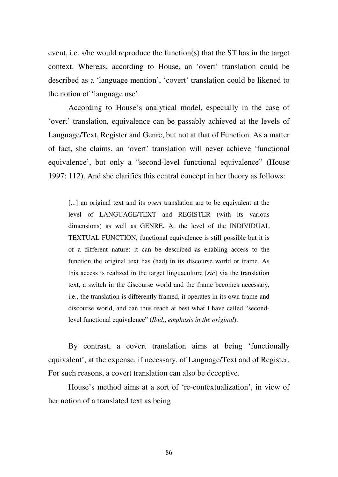event, i.e. s/he would reproduce the function(s) that the ST has in the target context. Whereas, according to House, an 'overt' translation could be described as a 'language mention', 'covert' translation could be likened to the notion of 'language use'.

According to House's analytical model, especially in the case of 'overt' translation, equivalence can be passably achieved at the levels of Language/Text, Register and Genre, but not at that of Function. As a matter of fact, she claims, an 'overt' translation will never achieve 'functional equivalence', but only a "second-level functional equivalence" (House 1997: 112). And she clarifies this central concept in her theory as follows:

[...] an original text and its *overt* translation are to be equivalent at the level of LANGUAGE/TEXT and REGISTER (with its various dimensions) as well as GENRE. At the level of the INDIVIDUAL TEXTUAL FUNCTION, functional equivalence is still possible but it is of a different nature: it can be described as enabling access to the function the original text has (had) in its discourse world or frame. As this access is realized in the target linguaculture [*sic*] via the translation text, a switch in the discourse world and the frame becomes necessary, i.e., the translation is differently framed, it operates in its own frame and discourse world, and can thus reach at best what I have called "secondlevel functional equivalence" (*Ibid*., *emphasis in the original*).

By contrast, a covert translation aims at being 'functionally equivalent', at the expense, if necessary, of Language/Text and of Register. For such reasons, a covert translation can also be deceptive.

House's method aims at a sort of 're-contextualization', in view of her notion of a translated text as being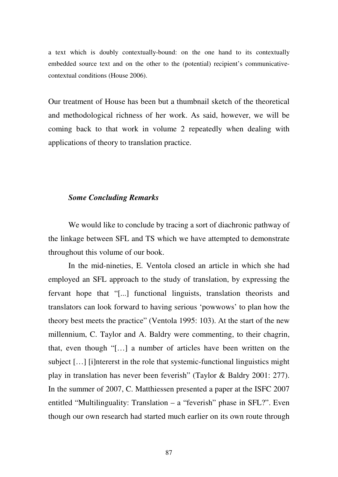a text which is doubly contextually-bound: on the one hand to its contextually embedded source text and on the other to the (potential) recipient's communicativecontextual conditions (House 2006).

Our treatment of House has been but a thumbnail sketch of the theoretical and methodological richness of her work. As said, however, we will be coming back to that work in volume 2 repeatedly when dealing with applications of theory to translation practice.

## *Some Concluding Remarks*

We would like to conclude by tracing a sort of diachronic pathway of the linkage between SFL and TS which we have attempted to demonstrate throughout this volume of our book.

In the mid-nineties, E. Ventola closed an article in which she had employed an SFL approach to the study of translation, by expressing the fervant hope that "[...] functional linguists, translation theorists and translators can look forward to having serious 'powwows' to plan how the theory best meets the practice" (Ventola 1995: 103). At the start of the new millennium, C. Taylor and A. Baldry were commenting, to their chagrin, that, even though "[…] a number of articles have been written on the subject […] [i]ntererst in the role that systemic-functional linguistics might play in translation has never been feverish" (Taylor & Baldry 2001: 277). In the summer of 2007, C. Matthiessen presented a paper at the ISFC 2007 entitled "Multilinguality: Translation – a "feverish" phase in SFL?". Even though our own research had started much earlier on its own route through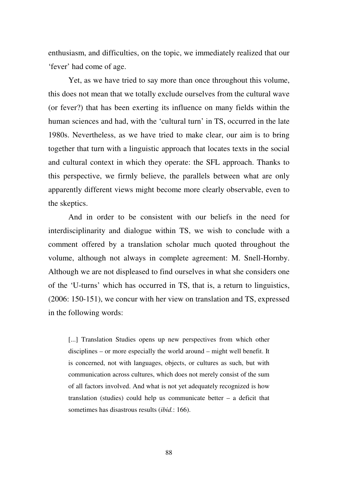enthusiasm, and difficulties, on the topic, we immediately realized that our 'fever' had come of age.

Yet, as we have tried to say more than once throughout this volume, this does not mean that we totally exclude ourselves from the cultural wave (or fever?) that has been exerting its influence on many fields within the human sciences and had, with the 'cultural turn' in TS, occurred in the late 1980s. Nevertheless, as we have tried to make clear, our aim is to bring together that turn with a linguistic approach that locates texts in the social and cultural context in which they operate: the SFL approach. Thanks to this perspective, we firmly believe, the parallels between what are only apparently different views might become more clearly observable, even to the skeptics.

And in order to be consistent with our beliefs in the need for interdisciplinarity and dialogue within TS, we wish to conclude with a comment offered by a translation scholar much quoted throughout the volume, although not always in complete agreement: M. Snell-Hornby. Although we are not displeased to find ourselves in what she considers one of the 'U-turns' which has occurred in TS, that is, a return to linguistics, (2006: 150-151), we concur with her view on translation and TS, expressed in the following words:

[...] Translation Studies opens up new perspectives from which other disciplines – or more especially the world around – might well benefit. It is concerned, not with languages, objects, or cultures as such, but with communication across cultures, which does not merely consist of the sum of all factors involved. And what is not yet adequately recognized is how translation (studies) could help us communicate better – a deficit that sometimes has disastrous results (*ibid.*: 166).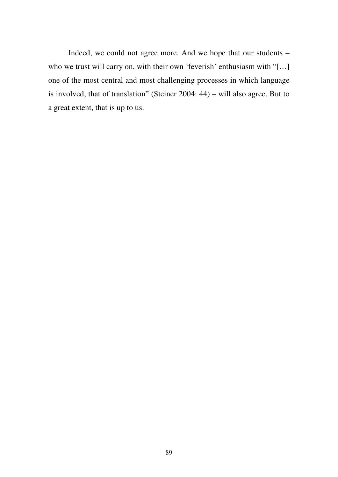Indeed, we could not agree more. And we hope that our students – who we trust will carry on, with their own 'feverish' enthusiasm with "[...] one of the most central and most challenging processes in which language is involved, that of translation" (Steiner 2004: 44) – will also agree. But to a great extent, that is up to us.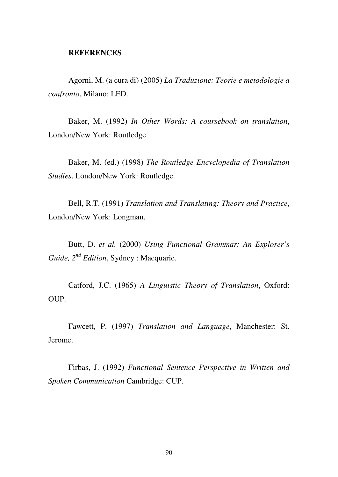## **REFERENCES**

Agorni, M. (a cura di) (2005) *La Traduzione: Teorie e metodologie a confronto*, Milano: LED.

Baker, M. (1992) *In Other Words: A coursebook on translation*, London/New York: Routledge.

Baker, M. (ed.) (1998) *The Routledge Encyclopedia of Translation Studies*, London/New York: Routledge.

Bell, R.T. (1991) *Translation and Translating: Theory and Practice*, London/New York: Longman.

Butt, D. *et al.* (2000) *Using Functional Grammar: An Explorer's Guide, 2nd Edition*, Sydney : Macquarie.

Catford, J.C. (1965) *A Linguistic Theory of Translation*, Oxford: OUP.

Fawcett, P. (1997) *Translation and Language*, Manchester: St. Jerome.

Firbas, J. (1992) *Functional Sentence Perspective in Written and Spoken Communication* Cambridge: CUP.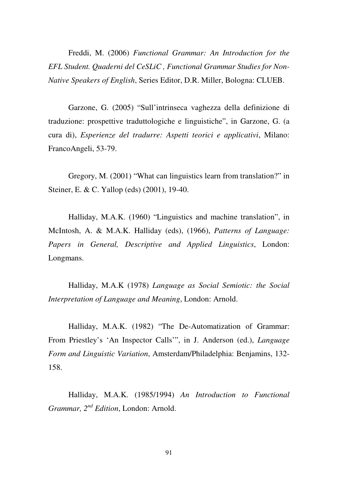Freddi, M. (2006) *Functional Grammar: An Introduction for the EFL Student. Quaderni del CeSLiC , Functional Grammar Studies for Non-Native Speakers of English*, Series Editor, D.R. Miller, Bologna: CLUEB.

Garzone, G. (2005) "Sull'intrinseca vaghezza della definizione di traduzione: prospettive traduttologiche e linguistiche", in Garzone, G. (a cura di), *Esperienze del tradurre: Aspetti teorici e applicativi*, Milano: FrancoAngeli, 53-79.

Gregory, M. (2001) "What can linguistics learn from translation?" in Steiner, E. & C. Yallop (eds) (2001), 19-40.

Halliday, M.A.K. (1960) "Linguistics and machine translation", in McIntosh, A. & M.A.K. Halliday (eds), (1966), *Patterns of Language: Papers in General, Descriptive and Applied Linguistics*, London: Longmans.

Halliday, M.A.K (1978) *Language as Social Semiotic: the Social Interpretation of Language and Meaning*, London: Arnold.

Halliday, M.A.K. (1982) "The De-Automatization of Grammar: From Priestley's 'An Inspector Calls'", in J. Anderson (ed.), *Language Form and Linguistic Variation*, Amsterdam/Philadelphia: Benjamins, 132- 158.

Halliday, M.A.K. (1985/1994) *An Introduction to Functional Grammar, 2nd Edition*, London: Arnold.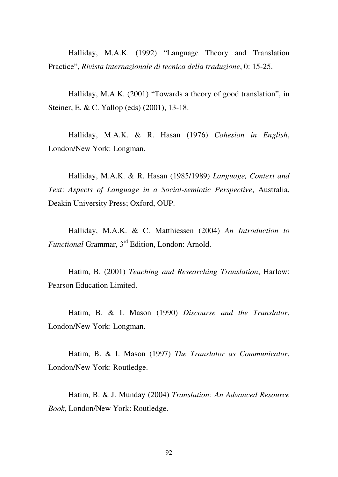Halliday, M.A.K. (1992) "Language Theory and Translation Practice", *Rivista internazionale di tecnica della traduzione*, 0: 15-25.

Halliday, M.A.K. (2001) "Towards a theory of good translation", in Steiner, E. & C. Yallop (eds) (2001), 13-18.

Halliday, M.A.K. & R. Hasan (1976) *Cohesion in English*, London/New York: Longman.

Halliday, M.A.K. & R. Hasan (1985/1989) *Language, Context and Text*: *Aspects of Language in a Social-semiotic Perspective*, Australia, Deakin University Press; Oxford, OUP.

Halliday, M.A.K. & C. Matthiessen (2004) *An Introduction to Functional* Grammar, 3rd Edition, London: Arnold.

Hatim, B. (2001) *Teaching and Researching Translation*, Harlow: Pearson Education Limited.

Hatim, B. & I. Mason (1990) *Discourse and the Translator*, London/New York: Longman.

Hatim, B. & I. Mason (1997) *The Translator as Communicator*, London/New York: Routledge.

Hatim, B. & J. Munday (2004) *Translation: An Advanced Resource Book*, London/New York: Routledge.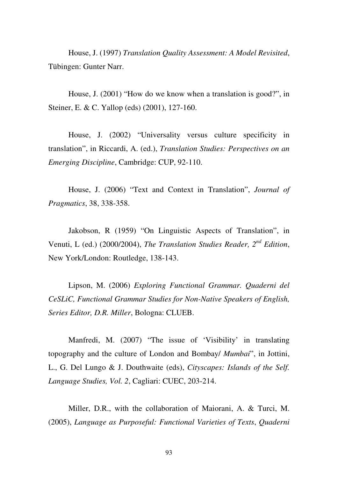House, J. (1997) *Translation Quality Assessment: A Model Revisited*, Tübingen: Gunter Narr.

House, J. (2001) "How do we know when a translation is good?", in Steiner, E. & C. Yallop (eds) (2001), 127-160.

House, J. (2002) "Universality versus culture specificity in translation", in Riccardi, A. (ed.), *Translation Studies: Perspectives on an Emerging Discipline*, Cambridge: CUP, 92-110.

House, J. (2006) "Text and Context in Translation", *Journal of Pragmatics*, 38, 338-358.

Jakobson, R (1959) "On Linguistic Aspects of Translation", in Venuti, L (ed.) (2000/2004), *The Translation Studies Reader, 2nd Edition*, New York/London: Routledge, 138-143.

Lipson, M. (2006) *Exploring Functional Grammar. Quaderni del CeSLiC, Functional Grammar Studies for Non-Native Speakers of English, Series Editor, D.R. Miller*, Bologna: CLUEB.

Manfredi, M. (2007) "The issue of 'Visibility' in translating topography and the culture of London and Bombay/ *Mumbai*", in Jottini, L., G. Del Lungo & J. Douthwaite (eds), *Cityscapes: Islands of the Self. Language Studies, Vol. 2*, Cagliari: CUEC, 203-214.

Miller, D.R., with the collaboration of Maiorani, A. & Turci, M. (2005), *Language as Purposeful: Functional Varieties of Texts*, *Quaderni*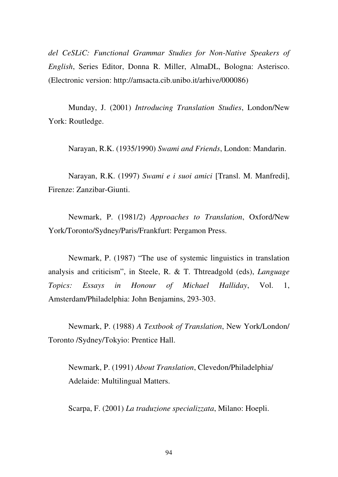*del CeSLiC: Functional Grammar Studies for Non-Native Speakers of English*, Series Editor, Donna R. Miller, AlmaDL, Bologna: Asterisco. (Electronic version: http://amsacta.cib.unibo.it/arhive/000086)

Munday, J. (2001) *Introducing Translation Studies*, London/New York: Routledge.

Narayan, R.K. (1935/1990) *Swami and Friends*, London: Mandarin.

Narayan, R.K. (1997) *Swami e i suoi amici* [Transl. M. Manfredi], Firenze: Zanzibar-Giunti.

Newmark, P. (1981/2) *Approaches to Translation*, Oxford/New York/Toronto/Sydney/Paris/Frankfurt: Pergamon Press.

Newmark, P. (1987) "The use of systemic linguistics in translation analysis and criticism", in Steele, R. & T. Thtreadgold (eds), *Language Topics: Essays in Honour of Michael Halliday*, Vol. 1, Amsterdam/Philadelphia: John Benjamins, 293-303.

Newmark, P. (1988) *A Textbook of Translation*, New York/London/ Toronto /Sydney/Tokyio: Prentice Hall.

Newmark, P. (1991) *About Translation*, Clevedon/Philadelphia/ Adelaide: Multilingual Matters.

Scarpa, F. (2001) *La traduzione specializzata*, Milano: Hoepli.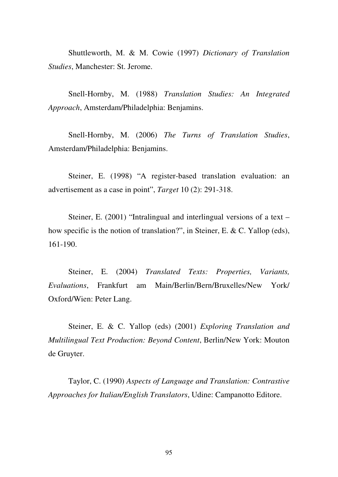Shuttleworth, M. & M. Cowie (1997) *Dictionary of Translation Studies*, Manchester: St. Jerome.

Snell-Hornby, M. (1988) *Translation Studies: An Integrated Approach*, Amsterdam/Philadelphia: Benjamins.

Snell-Hornby, M. (2006) *The Turns of Translation Studies*, Amsterdam/Philadelphia: Benjamins.

Steiner, E. (1998) "A register-based translation evaluation: an advertisement as a case in point", *Target* 10 (2): 291-318.

Steiner, E. (2001) "Intralingual and interlingual versions of a text – how specific is the notion of translation?", in Steiner, E. & C. Yallop (eds), 161-190.

Steiner, E. (2004) *Translated Texts: Properties, Variants, Evaluations*, Frankfurt am Main/Berlin/Bern/Bruxelles/New York/ Oxford/Wien: Peter Lang.

Steiner, E. & C. Yallop (eds) (2001) *Exploring Translation and Multilingual Text Production: Beyond Content*, Berlin/New York: Mouton de Gruyter.

Taylor, C. (1990) *Aspects of Language and Translation: Contrastive Approaches for Italian/English Translators*, Udine: Campanotto Editore.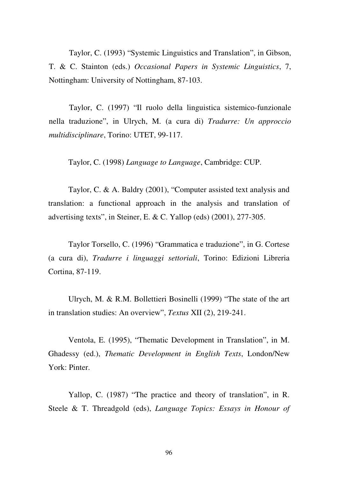Taylor, C. (1993) "Systemic Linguistics and Translation", in Gibson, T. & C. Stainton (eds.) *Occasional Papers in Systemic Linguistics*, 7, Nottingham: University of Nottingham, 87-103.

Taylor, C. (1997) "Il ruolo della linguistica sistemico-funzionale nella traduzione", in Ulrych, M. (a cura di) *Tradurre: Un approccio multidisciplinare*, Torino: UTET, 99-117.

Taylor, C. (1998) *Language to Language*, Cambridge: CUP.

Taylor, C. & A. Baldry (2001), "Computer assisted text analysis and translation: a functional approach in the analysis and translation of advertising texts", in Steiner, E. & C. Yallop (eds) (2001), 277-305.

Taylor Torsello, C. (1996) "Grammatica e traduzione", in G. Cortese (a cura di), *Tradurre i linguaggi settoriali*, Torino: Edizioni Libreria Cortina, 87-119.

Ulrych, M. & R.M. Bollettieri Bosinelli (1999) "The state of the art in translation studies: An overview", *Textus* XII (2), 219-241.

Ventola, E. (1995), "Thematic Development in Translation", in M. Ghadessy (ed.), *Thematic Development in English Texts*, London/New York: Pinter.

Yallop, C. (1987) "The practice and theory of translation", in R. Steele & T. Threadgold (eds), *Language Topics: Essays in Honour of*